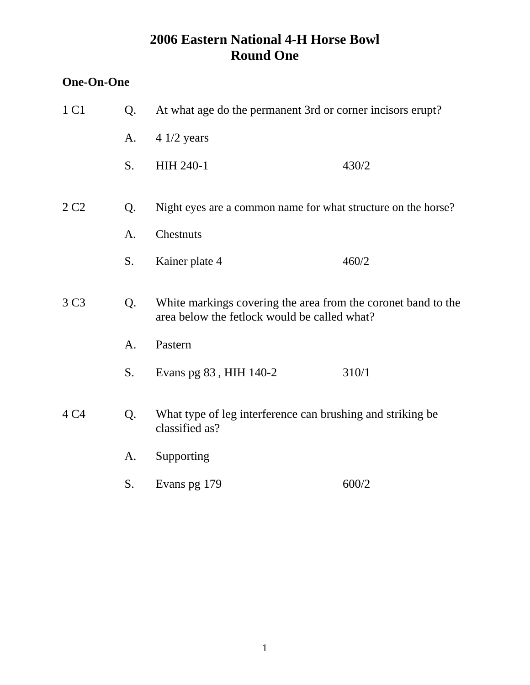### **One-On-One**

| 1 C1             | Q. | At what age do the permanent 3rd or corner incisors erupt?                                                    |       |  |
|------------------|----|---------------------------------------------------------------------------------------------------------------|-------|--|
|                  | A. | $41/2$ years                                                                                                  |       |  |
|                  | S. | HIH 240-1                                                                                                     | 430/2 |  |
| 2 C <sub>2</sub> | Q. | Night eyes are a common name for what structure on the horse?                                                 |       |  |
|                  | A. | Chestnuts                                                                                                     |       |  |
|                  | S. | Kainer plate 4                                                                                                | 460/2 |  |
| 3 C <sub>3</sub> | Q. | White markings covering the area from the coronet band to the<br>area below the fetlock would be called what? |       |  |
|                  | A. | Pastern                                                                                                       |       |  |
|                  | S. | Evans pg 83, HIH 140-2                                                                                        | 310/1 |  |
| 4 C4             | Q. | What type of leg interference can brushing and striking be<br>classified as?                                  |       |  |
|                  | A. | Supporting                                                                                                    |       |  |
|                  | S. | Evans pg 179                                                                                                  | 600/2 |  |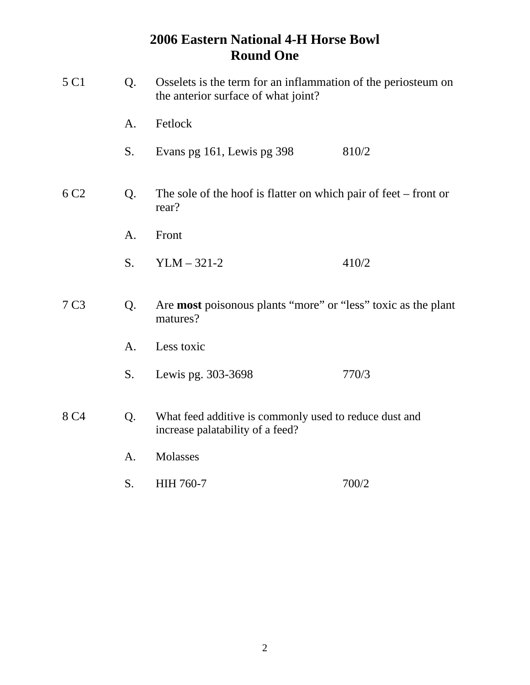| 5 C1             | Q. | Osselets is the term for an inflammation of the periosteum on<br>the anterior surface of what joint? |       |  |
|------------------|----|------------------------------------------------------------------------------------------------------|-------|--|
|                  | A. | Fetlock                                                                                              |       |  |
|                  | S. | Evans pg 161, Lewis pg 398                                                                           | 810/2 |  |
| 6 C <sub>2</sub> | Q. | The sole of the hoof is flatter on which pair of feet $-$ front or<br>rear?                          |       |  |
|                  | A. | Front                                                                                                |       |  |
|                  | S. | $YLM - 321-2$                                                                                        | 410/2 |  |
| 7 C <sub>3</sub> | Q. | Are <b>most</b> poisonous plants "more" or "less" toxic as the plant<br>matures?                     |       |  |
|                  | A. | Less toxic                                                                                           |       |  |
|                  | S. | Lewis pg. 303-3698                                                                                   | 770/3 |  |
| 8 C <sub>4</sub> | Q. | What feed additive is commonly used to reduce dust and<br>increase palatability of a feed?           |       |  |
|                  | A. | Molasses                                                                                             |       |  |
|                  | S. | <b>HIH 760-7</b>                                                                                     | 700/2 |  |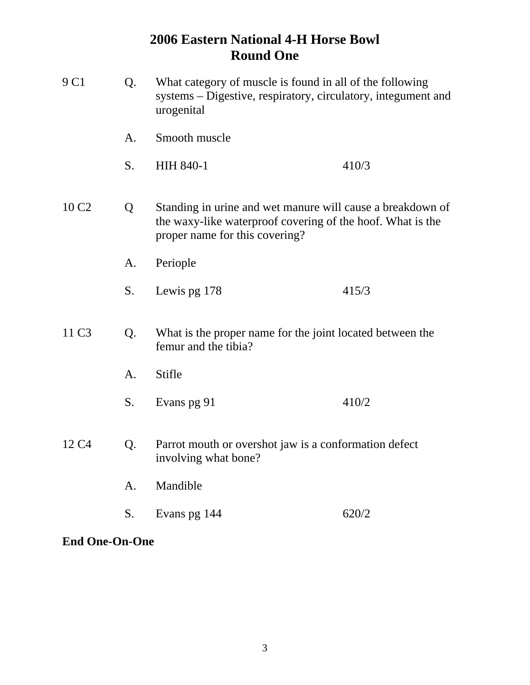| 9 C1                                            | Q. | What category of muscle is found in all of the following<br>systems – Digestive, respiratory, circulatory, integument and<br>urogenital                    |       |
|-------------------------------------------------|----|------------------------------------------------------------------------------------------------------------------------------------------------------------|-------|
|                                                 | A. | Smooth muscle                                                                                                                                              |       |
|                                                 | S. | <b>HIH 840-1</b>                                                                                                                                           | 410/3 |
| 10 C <sub>2</sub>                               | Q  | Standing in urine and wet manure will cause a breakdown of<br>the waxy-like waterproof covering of the hoof. What is the<br>proper name for this covering? |       |
|                                                 | A. | Periople                                                                                                                                                   |       |
|                                                 | S. | Lewis pg 178                                                                                                                                               | 415/3 |
| 11 C <sub>3</sub><br>Q.<br>femur and the tibia? |    | What is the proper name for the joint located between the                                                                                                  |       |
|                                                 | A. | Stifle                                                                                                                                                     |       |
|                                                 | S. | Evans pg 91                                                                                                                                                | 410/2 |
| 12 C <sub>4</sub>                               | Q. | Parrot mouth or overshot jaw is a conformation defect<br>involving what bone?                                                                              |       |
|                                                 | A. | Mandible                                                                                                                                                   |       |
|                                                 | S. | Evans pg 144                                                                                                                                               | 620/2 |
|                                                 |    |                                                                                                                                                            |       |

**End One-On-One**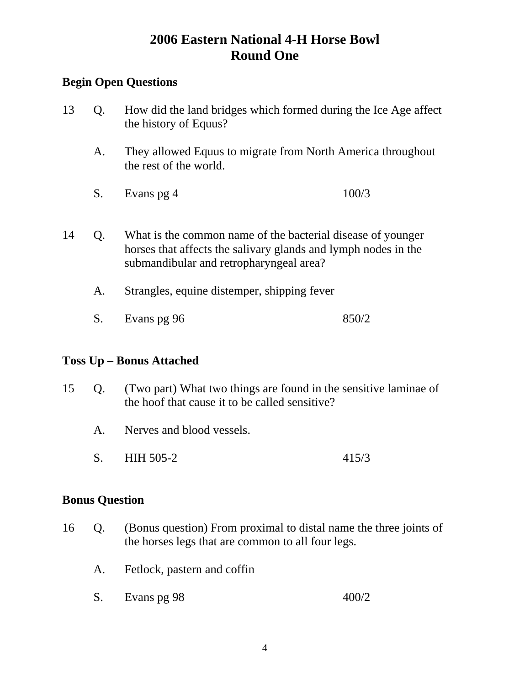### **Begin Open Questions**

| 13 | Q. | How did the land bridges which formed during the Ice Age affect<br>the history of Equus?                                                                                 |       |
|----|----|--------------------------------------------------------------------------------------------------------------------------------------------------------------------------|-------|
|    | A. | They allowed Equus to migrate from North America throughout<br>the rest of the world.                                                                                    |       |
|    | S. | Evans pg 4                                                                                                                                                               | 100/3 |
| 14 | Q. | What is the common name of the bacterial disease of younger<br>horses that affects the salivary glands and lymph nodes in the<br>submandibular and retropharyngeal area? |       |
|    | Α. | Strangles, equine distemper, shipping fever                                                                                                                              |       |

S. Evans pg 96 850/2

### **Toss Up – Bonus Attached**

- 15 Q. (Two part) What two things are found in the sensitive laminae of the hoof that cause it to be called sensitive?
	- A. Nerves and blood vessels.
	- S. HIH 505-2 415/3

### **Bonus Question**

- 16 Q. (Bonus question) From proximal to distal name the three joints of the horses legs that are common to all four legs.
	- A. Fetlock, pastern and coffin
	- S. Evans pg 98 400/2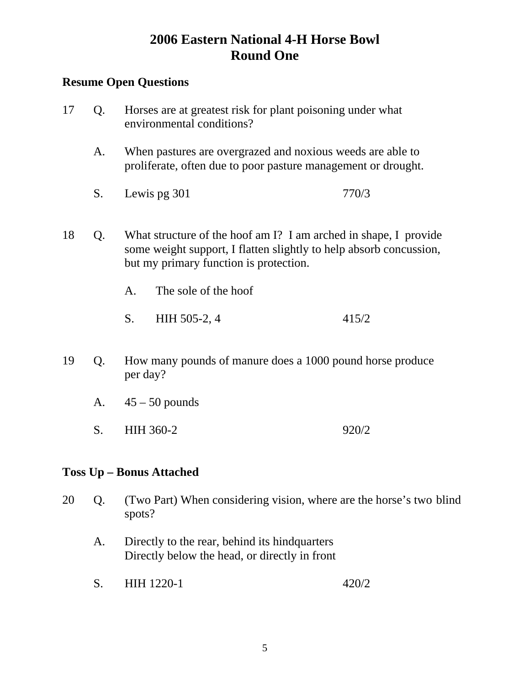### **Resume Open Questions**

- 17 Q. Horses are at greatest risk for plant poisoning under what environmental conditions? A. When pastures are overgrazed and noxious weeds are able to proliferate, often due to poor pasture management or drought. S. Lewis pg 301 770/3 18 Q. What structure of the hoof am I? I am arched in shape, I provide some weight support, I flatten slightly to help absorb concussion, but my primary function is protection. A. The sole of the hoof S. HIH 505-2, 4 415/2
- 19 Q. How many pounds of manure does a 1000 pound horse produce per day?
	- A.  $45 50$  pounds
	- S. HIH 360-2 920/2

### **Toss Up – Bonus Attached**

- 20 Q. (Two Part) When considering vision, where are the horse's two blind spots?
	- A. Directly to the rear, behind its hindquarters Directly below the head, or directly in front
	- S. HIH 1220-1 420/2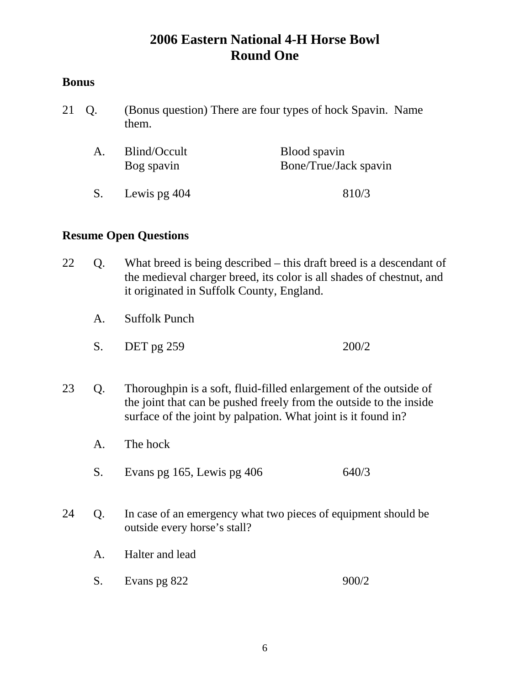### **Bonus**

21 Q. (Bonus question) There are four types of hock Spavin. Name them.

| Blind/Occult<br>Bog spavin | Blood spavin<br>Bone/True/Jack spavin |
|----------------------------|---------------------------------------|
| S. Lewis pg 404            | 810/3                                 |

- 22 Q. What breed is being described this draft breed is a descendant of the medieval charger breed, its color is all shades of chestnut, and it originated in Suffolk County, England.
	- A. Suffolk Punch
	- S. DET pg 259 200/2
- 23 Q. Thoroughpin is a soft, fluid-filled enlargement of the outside of the joint that can be pushed freely from the outside to the inside surface of the joint by palpation. What joint is it found in?
	- A. The hock
	- S. Evans pg 165, Lewis pg 406 640/3
- 24 Q. In case of an emergency what two pieces of equipment should be outside every horse's stall?
	- A. Halter and lead
	- S. Evans pg 822 900/2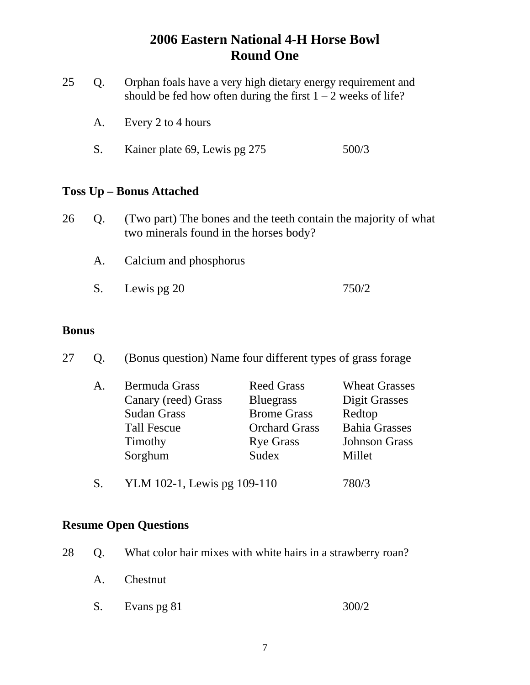| 25 | Orphan foals have a very high dietary energy requirement and    |
|----|-----------------------------------------------------------------|
|    | should be fed how often during the first $1 - 2$ weeks of life? |

- A. Every 2 to 4 hours
- S. Kainer plate 69, Lewis pg 275 500/3

### **Toss Up – Bonus Attached**

- 26 Q. (Two part) The bones and the teeth contain the majority of what two minerals found in the horses body?
	- A. Calcium and phosphorus
	- S. Lewis pg 20 750/2

### **Bonus**

27 Q. (Bonus question) Name four different types of grass forage

| <b>Bermuda Grass</b><br>A. | <b>Reed Grass</b>    | <b>Wheat Grasses</b> |
|----------------------------|----------------------|----------------------|
| Canary (reed) Grass        | <b>Bluegrass</b>     | Digit Grasses        |
| <b>Sudan Grass</b>         | <b>Brome Grass</b>   | Redtop               |
| <b>Tall Fescue</b>         | <b>Orchard Grass</b> | <b>Bahia Grasses</b> |
| Timothy                    | <b>Rye Grass</b>     | <b>Johnson Grass</b> |
| Sorghum                    | Sudex                | Millet               |
|                            |                      |                      |

S. YLM 102-1, Lewis pg 109-110 780/3

- 28 Q. What color hair mixes with white hairs in a strawberry roan?
	- A. Chestnut
	- S. Evans pg 81 300/2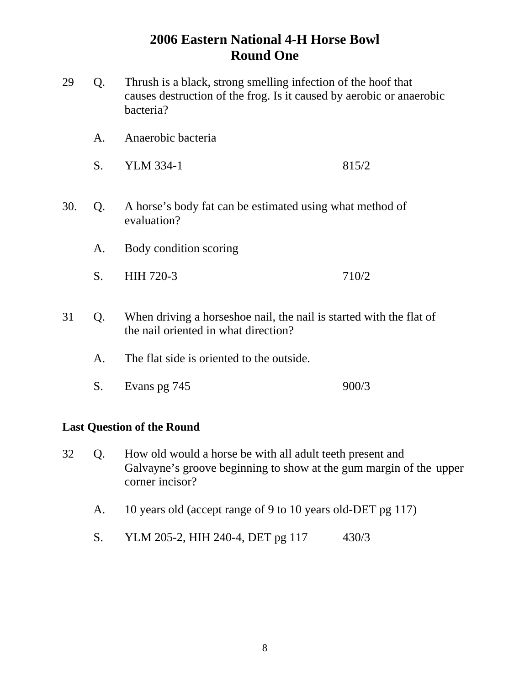- 29 Q. Thrush is a black, strong smelling infection of the hoof that causes destruction of the frog. Is it caused by aerobic or anaerobic bacteria?
	- A. Anaerobic bacteria
	- S. YLM 334-1 815/2
- 30. Q. A horse's body fat can be estimated using what method of evaluation?
	- A. Body condition scoring
	- S. HIH 720-3 710/2
- 31 Q. When driving a horseshoe nail, the nail is started with the flat of the nail oriented in what direction?
	- A. The flat side is oriented to the outside.
	- S. Evans pg 745 900/3

#### **Last Question of the Round**

- 32 Q. How old would a horse be with all adult teeth present and Galvayne's groove beginning to show at the gum margin of the upper corner incisor?
	- A. 10 years old (accept range of 9 to 10 years old-DET pg 117)
	- S. YLM 205-2, HIH 240-4, DET pg 117 430/3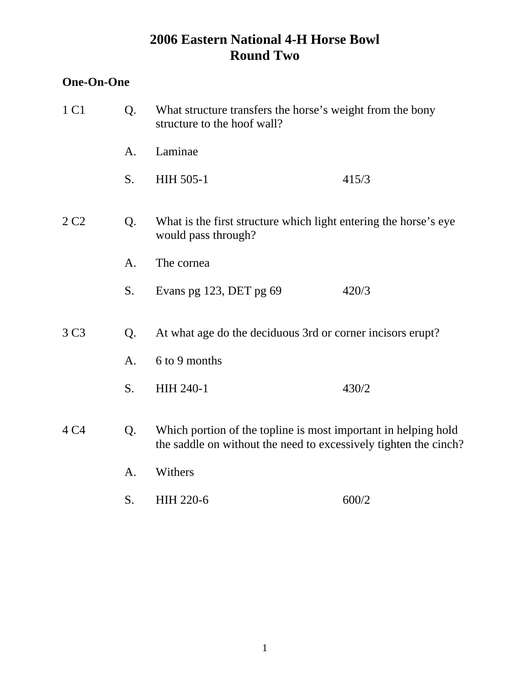### **One-On-One**

| 1 C1             | Q.             | What structure transfers the horse's weight from the bony<br>structure to the hoof wall? |                                                                                                                                    |
|------------------|----------------|------------------------------------------------------------------------------------------|------------------------------------------------------------------------------------------------------------------------------------|
|                  | A.             | Laminae                                                                                  |                                                                                                                                    |
|                  | S.             | HIH 505-1                                                                                | 415/3                                                                                                                              |
| 2 C <sub>2</sub> | Q.             | would pass through?                                                                      | What is the first structure which light entering the horse's eye                                                                   |
|                  | A.             | The cornea                                                                               |                                                                                                                                    |
|                  | S.             | Evans pg 123, DET pg 69                                                                  | 420/3                                                                                                                              |
| 3 C <sub>3</sub> | Q.             | At what age do the deciduous 3rd or corner incisors erupt?                               |                                                                                                                                    |
|                  | A <sub>1</sub> | 6 to 9 months                                                                            |                                                                                                                                    |
|                  | S.             | <b>HIH 240-1</b>                                                                         | 430/2                                                                                                                              |
| 4 C <sub>4</sub> | Q.             |                                                                                          | Which portion of the topline is most important in helping hold<br>the saddle on without the need to excessively tighten the cinch? |
|                  | A.             | Withers                                                                                  |                                                                                                                                    |
|                  | S.             | <b>HIH 220-6</b>                                                                         | 600/2                                                                                                                              |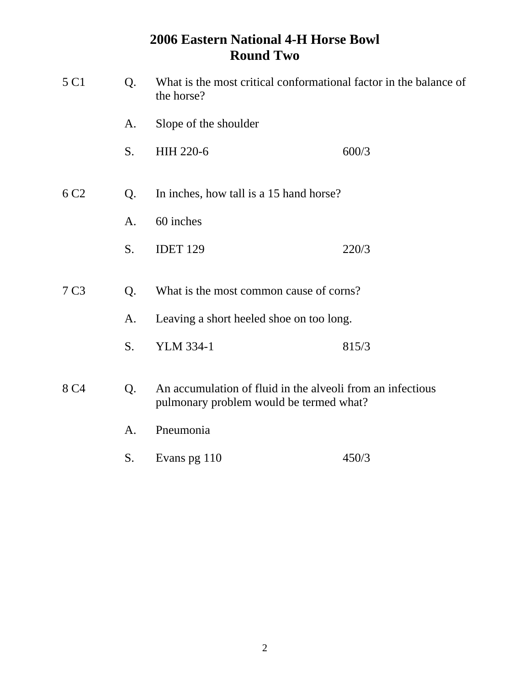| 5 C1             | Q. | What is the most critical conformational factor in the balance of<br>the horse?                       |       |  |
|------------------|----|-------------------------------------------------------------------------------------------------------|-------|--|
|                  | A. | Slope of the shoulder                                                                                 |       |  |
|                  | S. | HIH 220-6                                                                                             | 600/3 |  |
| 6 C <sub>2</sub> | Q. | In inches, how tall is a 15 hand horse?                                                               |       |  |
|                  | A. | 60 inches                                                                                             |       |  |
|                  | S. | <b>IDET 129</b>                                                                                       | 220/3 |  |
| 7 <sub>C3</sub>  | Q. | What is the most common cause of corns?                                                               |       |  |
|                  | A. | Leaving a short heeled shoe on too long.                                                              |       |  |
|                  | S. | <b>YLM 334-1</b>                                                                                      | 815/3 |  |
| 8 C <sub>4</sub> | Q. | An accumulation of fluid in the alveoli from an infectious<br>pulmonary problem would be termed what? |       |  |
|                  | A. | Pneumonia                                                                                             |       |  |
|                  | S. | Evans pg 110                                                                                          | 450/3 |  |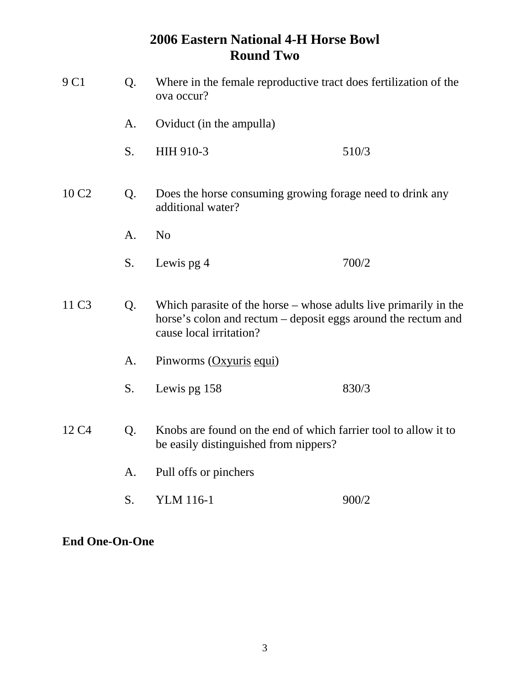| 9 C1              | Q.<br>Where in the female reproductive tract does fertilization of the<br>ova occur? |                                                                                                                                                                |       |
|-------------------|--------------------------------------------------------------------------------------|----------------------------------------------------------------------------------------------------------------------------------------------------------------|-------|
|                   | A.                                                                                   | Oviduct (in the ampulla)                                                                                                                                       |       |
|                   | S.                                                                                   | HIH 910-3                                                                                                                                                      | 510/3 |
| 10 C <sub>2</sub> | Q.                                                                                   | Does the horse consuming growing forage need to drink any<br>additional water?                                                                                 |       |
|                   | A.                                                                                   | N <sub>o</sub>                                                                                                                                                 |       |
|                   | S.                                                                                   | Lewis pg 4                                                                                                                                                     | 700/2 |
| 11 C <sub>3</sub> | Q.                                                                                   | Which parasite of the horse $-$ whose adults live primarily in the<br>horse's colon and rectum – deposit eggs around the rectum and<br>cause local irritation? |       |
|                   | A.                                                                                   | Pinworms (Oxyuris equi)                                                                                                                                        |       |
|                   | S.                                                                                   | Lewis pg 158                                                                                                                                                   | 830/3 |
| 12 C <sub>4</sub> | Q.                                                                                   | Knobs are found on the end of which farrier tool to allow it to<br>be easily distinguished from nippers?                                                       |       |
|                   | A.                                                                                   | Pull offs or pinchers                                                                                                                                          |       |
|                   | S.                                                                                   | <b>YLM</b> 116-1                                                                                                                                               | 900/2 |

**End One-On-One**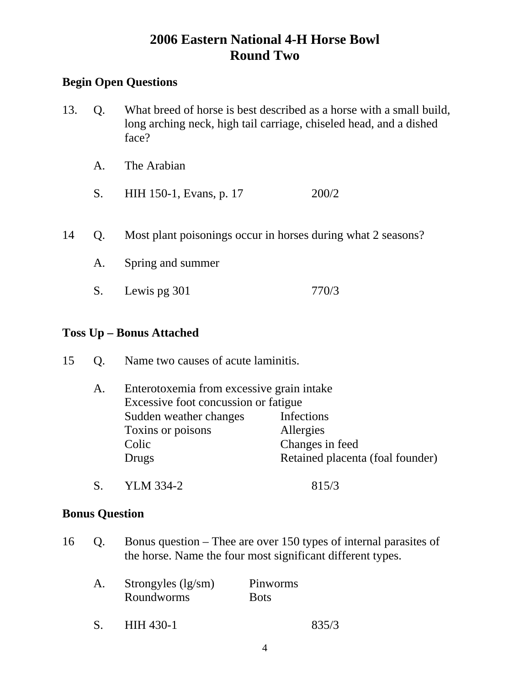### **Begin Open Questions**

- 13. Q. What breed of horse is best described as a horse with a small build, long arching neck, high tail carriage, chiseled head, and a dished face?
	- A. The Arabian
	- S. HIH 150-1, Evans, p. 17 200/2
- 14 Q. Most plant poisonings occur in horses during what 2 seasons?
	- A. Spring and summer
	- S. Lewis pg 301 770/3

#### **Toss Up – Bonus Attached**

| 15 |  | Name two causes of acute laminitis. |
|----|--|-------------------------------------|
|----|--|-------------------------------------|

| A. | Enterotoxemia from excessive grain intake |                                  |  |
|----|-------------------------------------------|----------------------------------|--|
|    | Excessive foot concussion or fatigue      |                                  |  |
|    | Sudden weather changes                    | Infections                       |  |
|    | Toxins or poisons                         | Allergies                        |  |
|    | Colic                                     | Changes in feed                  |  |
|    | Drugs                                     | Retained placenta (foal founder) |  |
|    |                                           |                                  |  |

S. YLM 334-2 815/3

#### **Bonus Question**

16 Q. Bonus question – Thee are over 150 types of internal parasites of the horse. Name the four most significant different types.

|  | Strongyles $(lg/m)$<br>Roundworms | Pinworms<br><b>Bots</b> |       |
|--|-----------------------------------|-------------------------|-------|
|  | HIH 430-1                         |                         | 835/3 |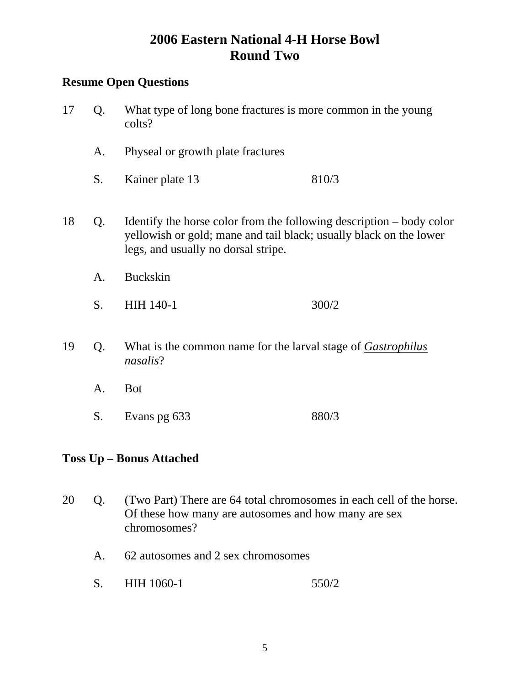### **Resume Open Questions**

- 17 Q. What type of long bone fractures is more common in the young colts? A. Physeal or growth plate fractures S. Kainer plate 13 810/3 18 Q. Identify the horse color from the following description – body color yellowish or gold; mane and tail black; usually black on the lower legs, and usually no dorsal stripe. A. Buckskin S. HIH 140-1 300/2 19 Q. What is the common name for the larval stage of *Gastrophilus nasalis*?
	- A. Bot
	- S. Evans pg 633 880/3

### **Toss Up – Bonus Attached**

- 20 Q. (Two Part) There are 64 total chromosomes in each cell of the horse. Of these how many are autosomes and how many are sex chromosomes?
	- A. 62 autosomes and 2 sex chromosomes
	- S. HIH 1060-1 550/2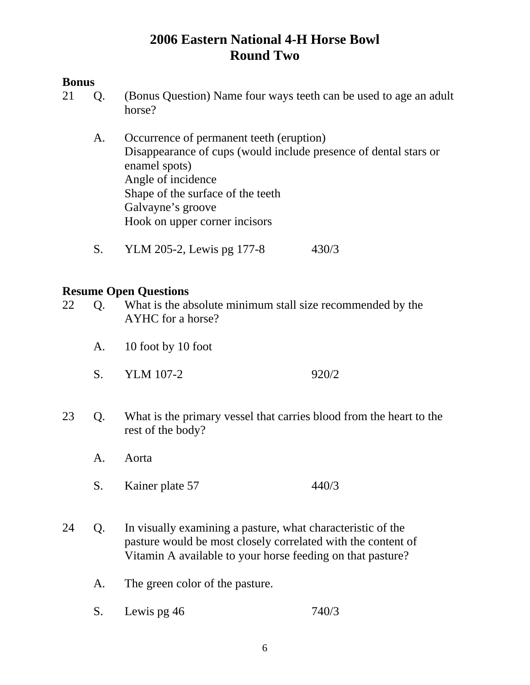### **Bonus**

- 21 Q. (Bonus Question) Name four ways teeth can be used to age an adult horse?
	- A. Occurrence of permanent teeth (eruption) Disappearance of cups (would include presence of dental stars or enamel spots) Angle of incidence Shape of the surface of the teeth Galvayne's groove Hook on upper corner incisors
	- S. YLM 205-2, Lewis pg 177-8 430/3

- 22 Q. What is the absolute minimum stall size recommended by the AYHC for a horse?
	- A. 10 foot by 10 foot
	- S. YLM 107-2 920/2
- 23 Q. What is the primary vessel that carries blood from the heart to the rest of the body?
	- A. Aorta
	- S. Kainer plate 57 440/3
- 24 Q. In visually examining a pasture, what characteristic of the pasture would be most closely correlated with the content of Vitamin A available to your horse feeding on that pasture?
	- A. The green color of the pasture.
	- S. Lewis pg 46 740/3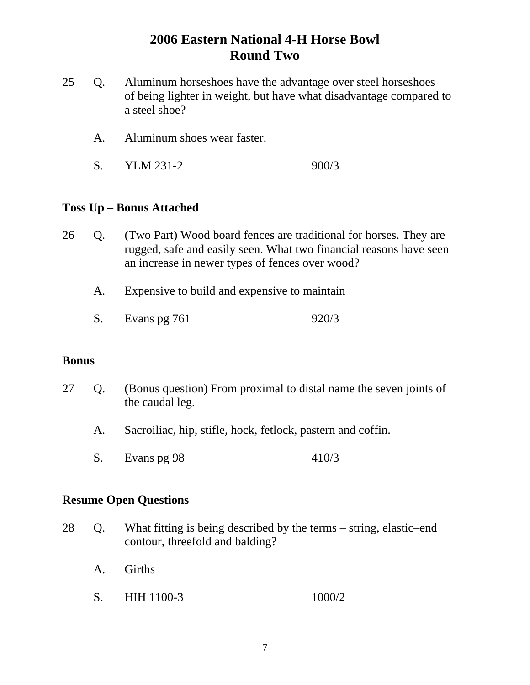- 25 Q. Aluminum horseshoes have the advantage over steel horseshoes of being lighter in weight, but have what disadvantage compared to a steel shoe?
	- A. Aluminum shoes wear faster.
	- S. YLM 231-2 900/3

#### **Toss Up – Bonus Attached**

- 26 Q. (Two Part) Wood board fences are traditional for horses. They are rugged, safe and easily seen. What two financial reasons have seen an increase in newer types of fences over wood?
	- A. Expensive to build and expensive to maintain
	- S. Evans pg 761 920/3

#### **Bonus**

- 27 Q. (Bonus question) From proximal to distal name the seven joints of the caudal leg.
	- A. Sacroiliac, hip, stifle, hock, fetlock, pastern and coffin.
	- S. Evans pg 98 410/3

- 28 Q. What fitting is being described by the terms string, elastic–end contour, threefold and balding?
	- A. Girths
	- S. HIH 1100-3 1000/2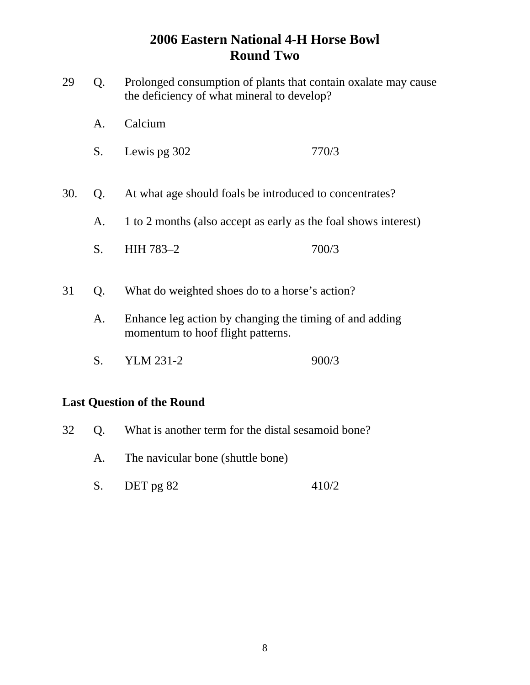- 29 Q. Prolonged consumption of plants that contain oxalate may cause the deficiency of what mineral to develop?
	- A. Calcium
	- S. Lewis pg 302 770/3
- 30. Q. At what age should foals be introduced to concentrates?
	- A. 1 to 2 months (also accept as early as the foal shows interest)
	- S. HIH 783-2 700/3
- 31 Q. What do weighted shoes do to a horse's action?
	- A. Enhance leg action by changing the timing of and adding momentum to hoof flight patterns.
	- S. YLM 231-2 900/3

### **Last Question of the Round**

- 32 Q. What is another term for the distal sesamoid bone?
	- A. The navicular bone (shuttle bone)
	- S. DET pg 82 410/2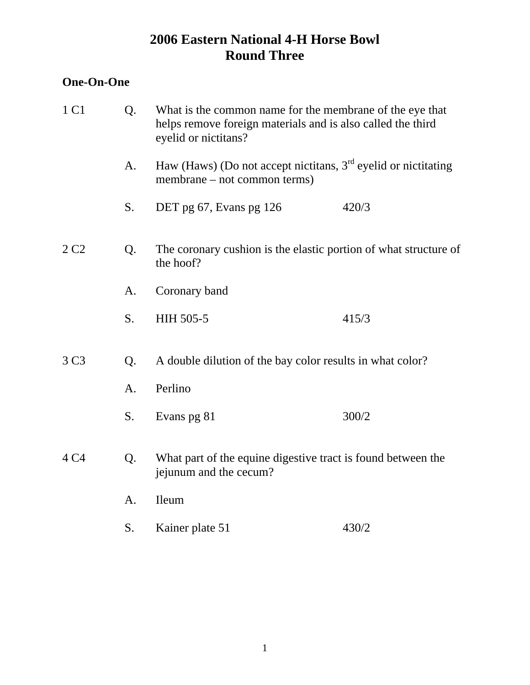### **One-On-One**

| Q.<br>What is the common name for the membrane of the eye that<br>helps remove foreign materials and is also called the third<br>eyelid or nictitans? |                                                                                                  |       |
|-------------------------------------------------------------------------------------------------------------------------------------------------------|--------------------------------------------------------------------------------------------------|-------|
| A.                                                                                                                                                    | Haw (Haws) (Do not accept nictitans, $3rd$ eyelid or nictitating<br>membrane – not common terms) |       |
| S.                                                                                                                                                    | DET pg 67, Evans pg 126                                                                          | 420/3 |
| Q.                                                                                                                                                    | The coronary cushion is the elastic portion of what structure of<br>the hoof?                    |       |
| A.                                                                                                                                                    | Coronary band                                                                                    |       |
| S.                                                                                                                                                    | HIH 505-5                                                                                        | 415/3 |
| Q.                                                                                                                                                    | A double dilution of the bay color results in what color?                                        |       |
| A.                                                                                                                                                    | Perlino                                                                                          |       |
| S.                                                                                                                                                    | Evans pg 81                                                                                      | 300/2 |
| Q.                                                                                                                                                    | What part of the equine digestive tract is found between the<br>jejunum and the cecum?           |       |
| A.                                                                                                                                                    | Ileum                                                                                            |       |
| S.                                                                                                                                                    | Kainer plate 51                                                                                  | 430/2 |
|                                                                                                                                                       |                                                                                                  |       |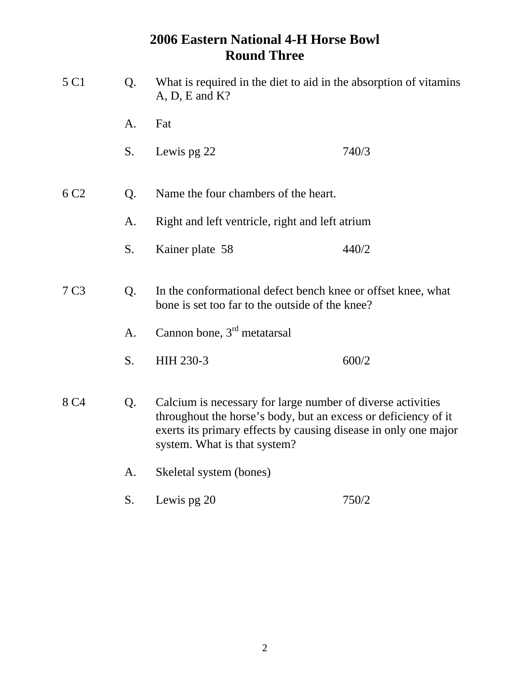| 5 C1             | Q.             | What is required in the diet to aid in the absorption of vitamins<br>$A, D, E$ and $K$ ?                                                                                                                                         |       |
|------------------|----------------|----------------------------------------------------------------------------------------------------------------------------------------------------------------------------------------------------------------------------------|-------|
|                  | A.             | Fat                                                                                                                                                                                                                              |       |
|                  | S.             | Lewis pg 22                                                                                                                                                                                                                      | 740/3 |
| 6 C <sub>2</sub> | Q.             | Name the four chambers of the heart.                                                                                                                                                                                             |       |
|                  | A.             | Right and left ventricle, right and left atrium                                                                                                                                                                                  |       |
|                  | S.             | Kainer plate 58                                                                                                                                                                                                                  | 440/2 |
| 7 <sub>C3</sub>  | Q.             | In the conformational defect bench knee or offset knee, what<br>bone is set too far to the outside of the knee?                                                                                                                  |       |
|                  | A <sub>1</sub> | Cannon bone, $3rd$ metatarsal                                                                                                                                                                                                    |       |
|                  | S.             | HIH 230-3                                                                                                                                                                                                                        | 600/2 |
| 8 C <sub>4</sub> | Q.             | Calcium is necessary for large number of diverse activities<br>throughout the horse's body, but an excess or deficiency of it<br>exerts its primary effects by causing disease in only one major<br>system. What is that system? |       |
|                  | A.             | Skeletal system (bones)                                                                                                                                                                                                          |       |
|                  | S.             | Lewis pg 20                                                                                                                                                                                                                      | 750/2 |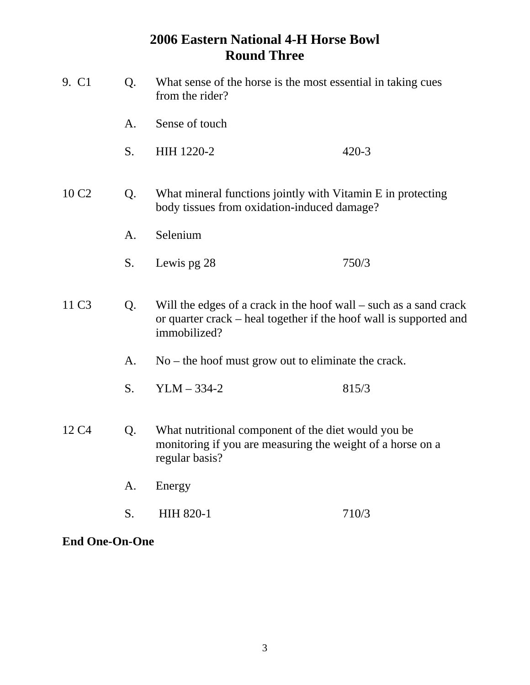| 9. C1                   | Q.                                                                                                               | What sense of the horse is the most essential in taking cues<br>from the rider?                                                                         |           |
|-------------------------|------------------------------------------------------------------------------------------------------------------|---------------------------------------------------------------------------------------------------------------------------------------------------------|-----------|
|                         | A.                                                                                                               | Sense of touch                                                                                                                                          |           |
|                         | S.                                                                                                               | HIH 1220-2                                                                                                                                              | $420 - 3$ |
| 10 C <sub>2</sub>       | What mineral functions jointly with Vitamin E in protecting<br>Q.<br>body tissues from oxidation-induced damage? |                                                                                                                                                         |           |
|                         | A.                                                                                                               | Selenium                                                                                                                                                |           |
|                         | S.                                                                                                               | Lewis pg 28                                                                                                                                             | 750/3     |
| 11 C <sub>3</sub>       | Q.                                                                                                               | Will the edges of a crack in the hoof wall – such as a sand crack<br>or quarter crack – heal together if the hoof wall is supported and<br>immobilized? |           |
|                         | A.                                                                                                               | $No$ – the hoof must grow out to eliminate the crack.                                                                                                   |           |
|                         | S.                                                                                                               | $YLM - 334-2$                                                                                                                                           | 815/3     |
| 12 C <sub>4</sub><br>Q. |                                                                                                                  | What nutritional component of the diet would you be<br>monitoring if you are measuring the weight of a horse on a<br>regular basis?                     |           |
|                         | A.                                                                                                               | Energy                                                                                                                                                  |           |
|                         | S.                                                                                                               | <b>HIH 820-1</b>                                                                                                                                        | 710/3     |

**End One-On-One**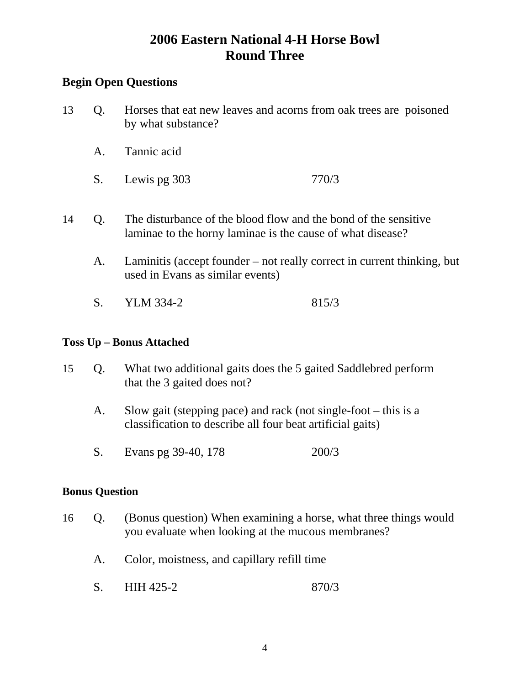### **Begin Open Questions**

- 13 Q. Horses that eat new leaves and acorns from oak trees are poisoned by what substance?
	- A. Tannic acid
	- S. Lewis pg 303 770/3
- 14 Q. The disturbance of the blood flow and the bond of the sensitive laminae to the horny laminae is the cause of what disease?
	- A. Laminitis (accept founder not really correct in current thinking, but used in Evans as similar events)
	- S. YLM 334-2 815/3

#### **Toss Up – Bonus Attached**

- 15 Q. What two additional gaits does the 5 gaited Saddlebred perform that the 3 gaited does not?
	- A. Slow gait (stepping pace) and rack (not single-foot this is a classification to describe all four beat artificial gaits)
	- S. Evans pg 39-40, 178 200/3

#### **Bonus Question**

- 16 Q. (Bonus question) When examining a horse, what three things would you evaluate when looking at the mucous membranes?
	- A. Color, moistness, and capillary refill time
	- S. HIH 425-2 870/3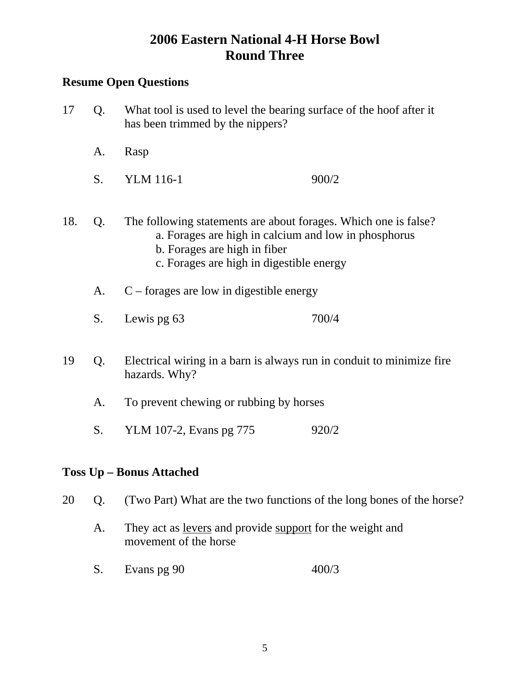### **Resume Open Questions**

- 17 Q. What tool is used to level the bearing surface of the hoof after it has been trimmed by the nippers? A. Rasp S. YLM 116-1 900/2 18. Q. The following statements are about forages. Which one is false? a. Forages are high in calcium and low in phosphorus b. Forages are high in fiber c. Forages are high in digestible energy A. C – forages are low in digestible energy S. Lewis pg 63 700/4 19 Q. Electrical wiring in a barn is always run in conduit to minimize fire hazards. Why?
	- A. To prevent chewing or rubbing by horses
	- S. YLM 107-2, Evans pg 775 920/2

### **Toss Up – Bonus Attached**

- 20 Q. (Two Part) What are the two functions of the long bones of the horse?
	- A. They act as <u>levers</u> and provide support for the weight and movement of the horse
	- S. Evans pg 90 400/3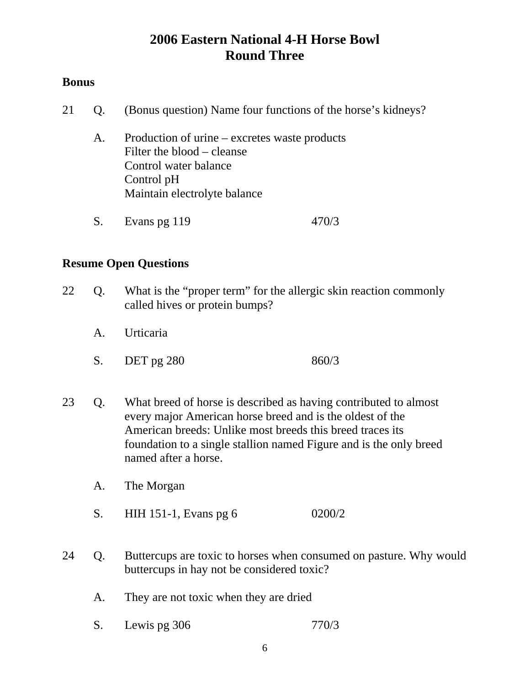#### **Bonus**

- 21 Q. (Bonus question) Name four functions of the horse's kidneys?
	- A. Production of urine excretes waste products Filter the blood – cleanse Control water balance Control pH Maintain electrolyte balance
	- S. Evans pg 119 470/3

- 22 Q. What is the "proper term" for the allergic skin reaction commonly called hives or protein bumps?
	- A. Urticaria
	- S. DET pg 280 860/3
- 23 Q. What breed of horse is described as having contributed to almost every major American horse breed and is the oldest of the American breeds: Unlike most breeds this breed traces its foundation to a single stallion named Figure and is the only breed named after a horse.
	- A. The Morgan
	- S. HIH 151-1, Evans pg 6 0200/2
- 24 Q. Buttercups are toxic to horses when consumed on pasture. Why would buttercups in hay not be considered toxic?
	- A. They are not toxic when they are dried
	- S. Lewis pg 306 770/3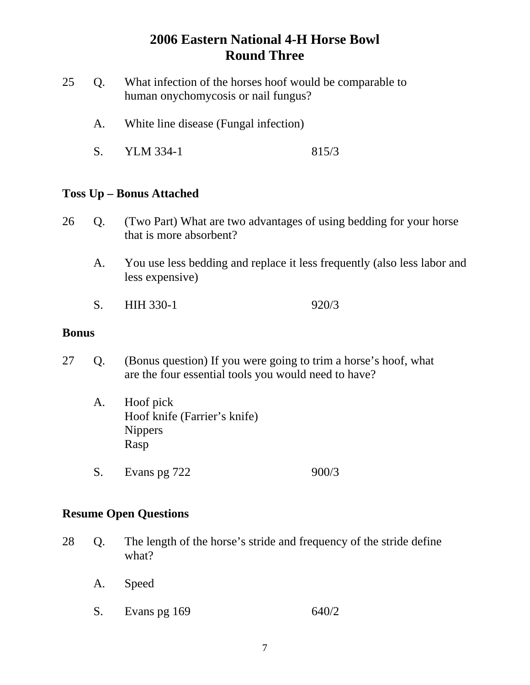- 25 Q. What infection of the horses hoof would be comparable to human onychomycosis or nail fungus?
	- A. White line disease (Fungal infection)
	- S. YLM 334-1 815/3

#### **Toss Up – Bonus Attached**

- 26 Q. (Two Part) What are two advantages of using bedding for your horse that is more absorbent?
	- A. You use less bedding and replace it less frequently (also less labor and less expensive)
	- S. HIH 330-1 920/3

#### **Bonus**

- 27 Q. (Bonus question) If you were going to trim a horse's hoof, what are the four essential tools you would need to have?
	- A. Hoof pick Hoof knife (Farrier's knife) Nippers Rasp
	- S. Evans pg 722 900/3

- 28 Q. The length of the horse's stride and frequency of the stride define what?
	- A. Speed
	- S. Evans pg 169 640/2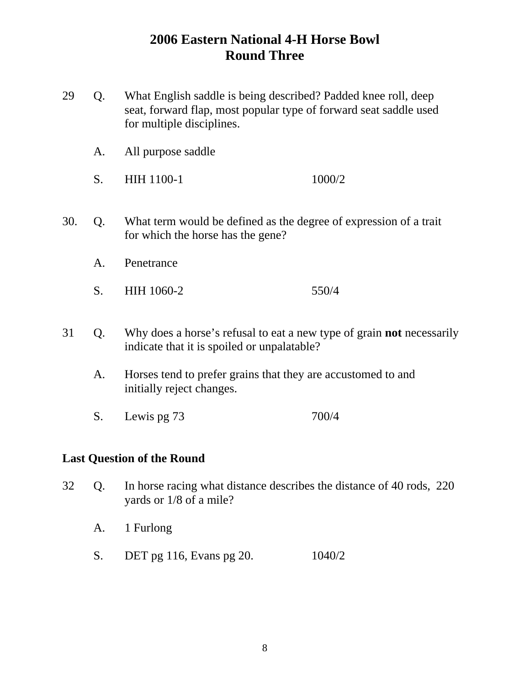- 29 Q. What English saddle is being described? Padded knee roll, deep seat, forward flap, most popular type of forward seat saddle used for multiple disciplines.
	- A. All purpose saddle
	- S. HIH 1100-1 1000/2
- 30. Q. What term would be defined as the degree of expression of a trait for which the horse has the gene?
	- A. Penetrance
	- S. HIH 1060-2 550/4
- 31 Q. Why does a horse's refusal to eat a new type of grain **not** necessarily indicate that it is spoiled or unpalatable?
	- A. Horses tend to prefer grains that they are accustomed to and initially reject changes.
	- S. Lewis pg 73 700/4

### **Last Question of the Round**

- 32 Q. In horse racing what distance describes the distance of 40 rods, 220 yards or 1/8 of a mile?
	- A. 1 Furlong
	- S. DET pg 116, Evans pg 20. 1040/2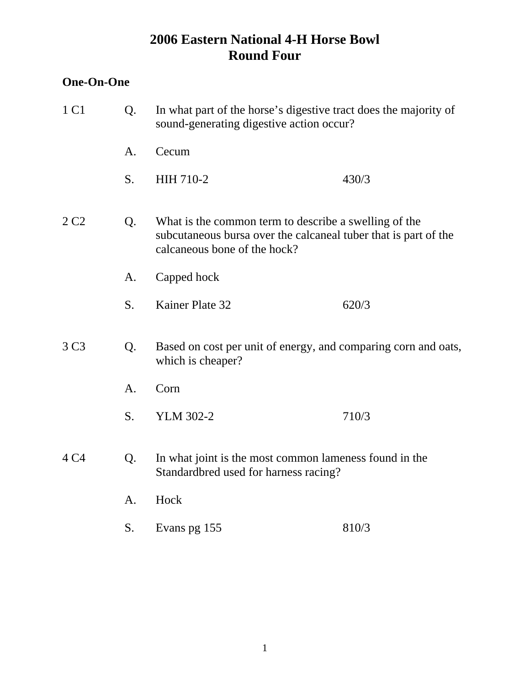### **One-On-One**

| 1 C1             | Q.                                                                                                    | In what part of the horse's digestive tract does the majority of<br>sound-generating digestive action occur?                                             |       |
|------------------|-------------------------------------------------------------------------------------------------------|----------------------------------------------------------------------------------------------------------------------------------------------------------|-------|
|                  | A.                                                                                                    | Cecum                                                                                                                                                    |       |
|                  | S.                                                                                                    | HIH 710-2                                                                                                                                                | 430/3 |
| 2C2              | Q.                                                                                                    | What is the common term to describe a swelling of the<br>subcutaneous bursa over the calcaneal tuber that is part of the<br>calcaneous bone of the hock? |       |
|                  | A.                                                                                                    | Capped hock                                                                                                                                              |       |
|                  | S.                                                                                                    | Kainer Plate 32                                                                                                                                          | 620/3 |
| 3 C <sub>3</sub> | Q.                                                                                                    | Based on cost per unit of energy, and comparing corn and oats,<br>which is cheaper?                                                                      |       |
|                  | A.                                                                                                    | Corn                                                                                                                                                     |       |
|                  | S.                                                                                                    | <b>YLM 302-2</b>                                                                                                                                         | 710/3 |
| 4 C4             | Q.<br>In what joint is the most common lameness found in the<br>Standardbred used for harness racing? |                                                                                                                                                          |       |
|                  | A <sub>1</sub>                                                                                        | Hock                                                                                                                                                     |       |
|                  | S.                                                                                                    | Evans pg 155                                                                                                                                             | 810/3 |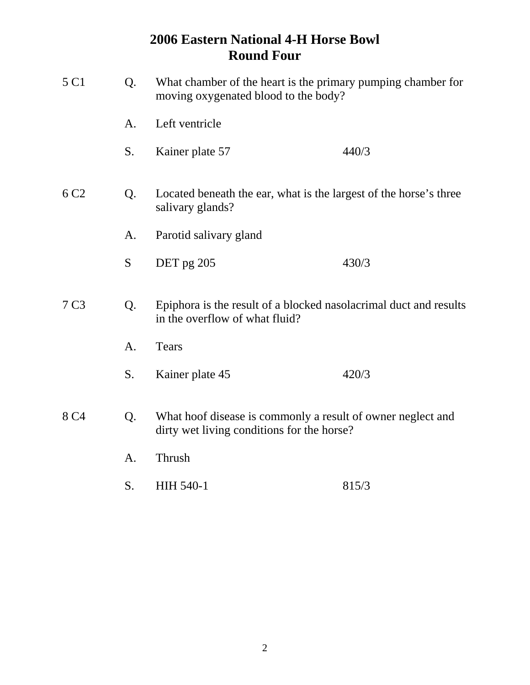| 5 C1<br>Q.<br>What chamber of the heart is the primary pumping chamber for<br>moving oxygenated blood to the body? |    |                                                                                                           |       |
|--------------------------------------------------------------------------------------------------------------------|----|-----------------------------------------------------------------------------------------------------------|-------|
|                                                                                                                    | A. | Left ventricle                                                                                            |       |
|                                                                                                                    | S. | Kainer plate 57                                                                                           | 440/3 |
| 6 C <sub>2</sub>                                                                                                   | Q. | Located beneath the ear, what is the largest of the horse's three<br>salivary glands?                     |       |
|                                                                                                                    | А. | Parotid salivary gland                                                                                    |       |
|                                                                                                                    | S  | DET pg 205                                                                                                | 430/3 |
| 7 C <sub>3</sub>                                                                                                   | Q. | Epiphora is the result of a blocked nasolacrimal duct and results<br>in the overflow of what fluid?       |       |
|                                                                                                                    | A. | <b>Tears</b>                                                                                              |       |
|                                                                                                                    | S. | Kainer plate 45                                                                                           | 420/3 |
| 8 C <sub>4</sub>                                                                                                   | Q. | What hoof disease is commonly a result of owner neglect and<br>dirty wet living conditions for the horse? |       |
|                                                                                                                    | A. | Thrush                                                                                                    |       |
|                                                                                                                    | S. | <b>HIH 540-1</b>                                                                                          | 815/3 |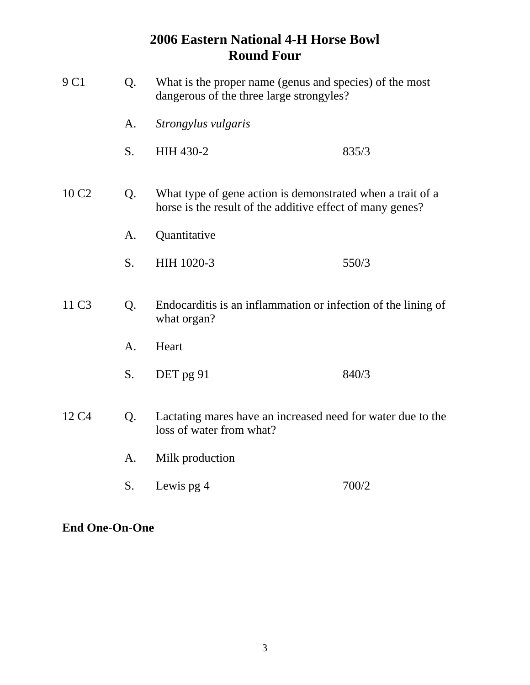| 9 C1                                                                                                               | Q.             | What is the proper name (genus and species) of the most<br>dangerous of the three large strongyles?                     |       |
|--------------------------------------------------------------------------------------------------------------------|----------------|-------------------------------------------------------------------------------------------------------------------------|-------|
|                                                                                                                    | A.             | Strongylus vulgaris                                                                                                     |       |
|                                                                                                                    | S.             | HIH 430-2                                                                                                               | 835/3 |
| 10 C <sub>2</sub>                                                                                                  | Q.             | What type of gene action is demonstrated when a trait of a<br>horse is the result of the additive effect of many genes? |       |
|                                                                                                                    | A.             | Quantitative                                                                                                            |       |
|                                                                                                                    | S.             | HIH 1020-3                                                                                                              | 550/3 |
| 11 C <sub>3</sub>                                                                                                  | Q.             | Endocarditis is an inflammation or infection of the lining of<br>what organ?                                            |       |
|                                                                                                                    | A <sub>1</sub> | Heart                                                                                                                   |       |
|                                                                                                                    | S.             | DET pg 91                                                                                                               | 840/3 |
| 12 C <sub>4</sub><br>Lactating mares have an increased need for water due to the<br>Q.<br>loss of water from what? |                |                                                                                                                         |       |
|                                                                                                                    | A.             | Milk production                                                                                                         |       |
|                                                                                                                    | S.             | Lewis pg 4                                                                                                              | 700/2 |

**End One-On-One**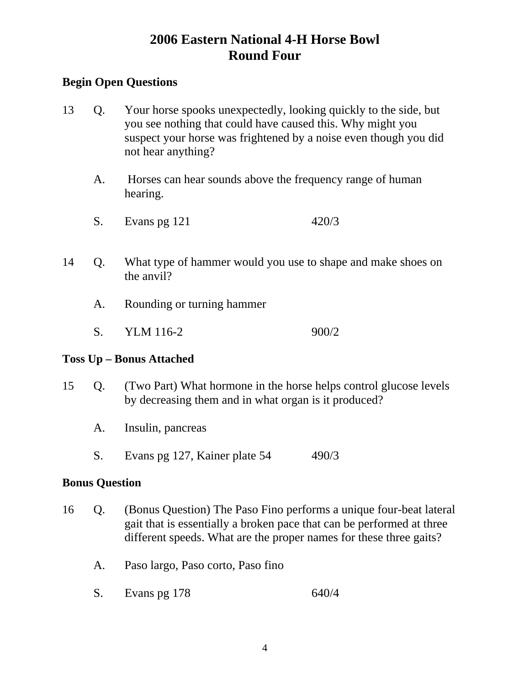### **Begin Open Questions**

- 13 Q. Your horse spooks unexpectedly, looking quickly to the side, but you see nothing that could have caused this. Why might you suspect your horse was frightened by a noise even though you did not hear anything?
	- A. Horses can hear sounds above the frequency range of human hearing.
	- S. Evans pg 121 420/3
- 14 Q. What type of hammer would you use to shape and make shoes on the anvil?
	- A. Rounding or turning hammer
	- S. YLM 116-2 900/2

#### **Toss Up – Bonus Attached**

- 15 Q. (Two Part) What hormone in the horse helps control glucose levels by decreasing them and in what organ is it produced?
	- A. Insulin, pancreas
	- S. Evans pg 127, Kainer plate 54 490/3

#### **Bonus Question**

- 16 Q. (Bonus Question) The Paso Fino performs a unique four-beat lateral gait that is essentially a broken pace that can be performed at three different speeds. What are the proper names for these three gaits?
	- A. Paso largo, Paso corto, Paso fino
	- S. Evans pg 178 640/4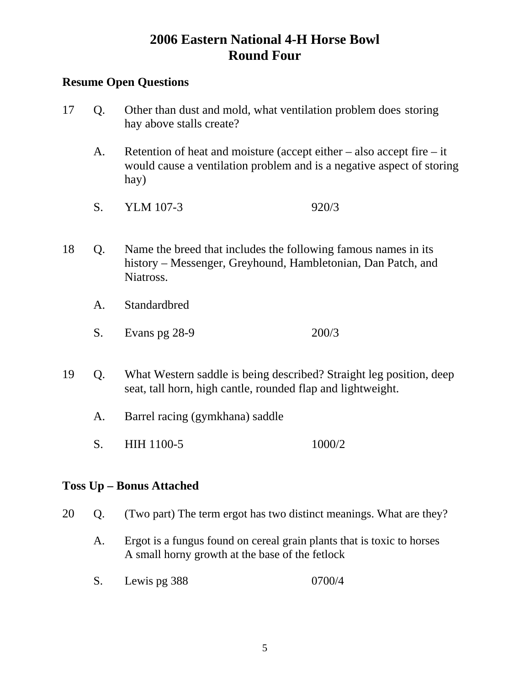#### **Resume Open Questions**

- 17 Q. Other than dust and mold, what ventilation problem does storing hay above stalls create?
	- A. Retention of heat and moisture (accept either also accept fire it would cause a ventilation problem and is a negative aspect of storing hay)
	- S. YLM 107-3 920/3
- 18 Q. Name the breed that includes the following famous names in its history – Messenger, Greyhound, Hambletonian, Dan Patch, and Niatross.
	- A. Standardbred
	- S. Evans pg 28-9 200/3
- 19 Q. What Western saddle is being described? Straight leg position, deep seat, tall horn, high cantle, rounded flap and lightweight.
	- A. Barrel racing (gymkhana) saddle
	- S. HIH 1100-5 1000/2

#### **Toss Up – Bonus Attached**

- 20 Q. (Two part) The term ergot has two distinct meanings. What are they?
	- A. Ergot is a fungus found on cereal grain plants that is toxic to horses A small horny growth at the base of the fetlock
	- S. Lewis pg 388 0700/4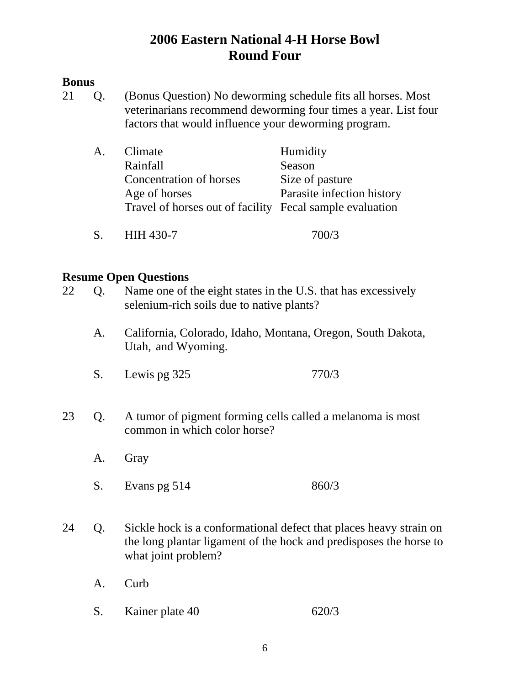#### **Bonus**

21 Q. (Bonus Question) No deworming schedule fits all horses. Most veterinarians recommend deworming four times a year. List four factors that would influence your deworming program.

| A. | Climate                                                  | Humidity                   |
|----|----------------------------------------------------------|----------------------------|
|    | Rainfall                                                 | Season                     |
|    | Concentration of horses                                  | Size of pasture            |
|    | Age of horses                                            | Parasite infection history |
|    | Travel of horses out of facility Fecal sample evaluation |                            |
|    |                                                          |                            |

S. HIH 430-7 700/3

| 22 | Q. | RUSUMU OPUN QUUSUUMS<br>Name one of the eight states in the U.S. that has excessively<br>selenium-rich soils due to native plants?                              |       |
|----|----|-----------------------------------------------------------------------------------------------------------------------------------------------------------------|-------|
|    | A. | California, Colorado, Idaho, Montana, Oregon, South Dakota,<br>Utah, and Wyoming.                                                                               |       |
|    | S. | Lewis pg 325                                                                                                                                                    | 770/3 |
| 23 | Q. | A tumor of pigment forming cells called a melanoma is most<br>common in which color horse?                                                                      |       |
|    | A. | Gray                                                                                                                                                            |       |
|    | S. | Evans pg 514                                                                                                                                                    | 860/3 |
| 24 | Q. | Sickle hock is a conformational defect that places heavy strain on<br>the long plantar ligament of the hock and predisposes the horse to<br>what joint problem? |       |
|    | A. | Curb                                                                                                                                                            |       |
|    | S. | Kainer plate 40                                                                                                                                                 | 620/3 |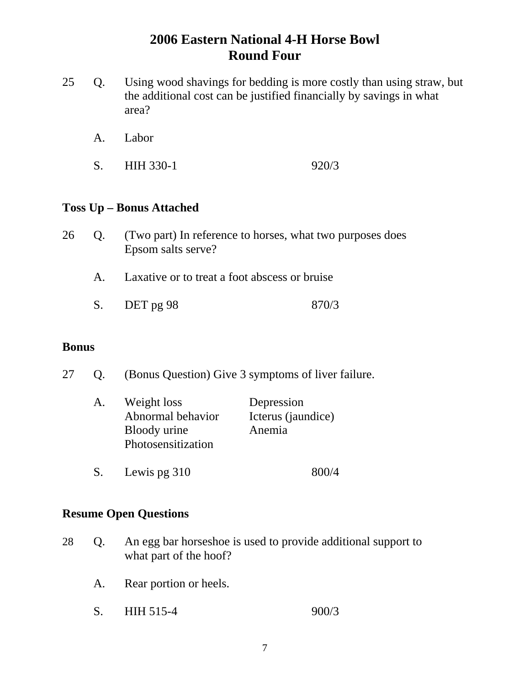- 25 Q. Using wood shavings for bedding is more costly than using straw, but the additional cost can be justified financially by savings in what area?
	- A. Labor
	- S. HIH 330-1 920/3

#### **Toss Up – Bonus Attached**

| 26 | (Two part) In reference to horses, what two purposes does |
|----|-----------------------------------------------------------|
|    | Epsom salts serve?                                        |

- A. Laxative or to treat a foot abscess or bruise
- S. DET pg 98 870/3

#### **Bonus**

27 Q. (Bonus Question) Give 3 symptoms of liver failure.

| A. | Weight loss        | Depression         |
|----|--------------------|--------------------|
|    | Abnormal behavior  | Icterus (jaundice) |
|    | Bloody urine       | Anemia             |
|    | Photosensitization |                    |
|    |                    |                    |

S. Lewis pg 310 800/4

- 28 Q. An egg bar horseshoe is used to provide additional support to what part of the hoof?
	- A. Rear portion or heels.
	- S. HIH 515-4 900/3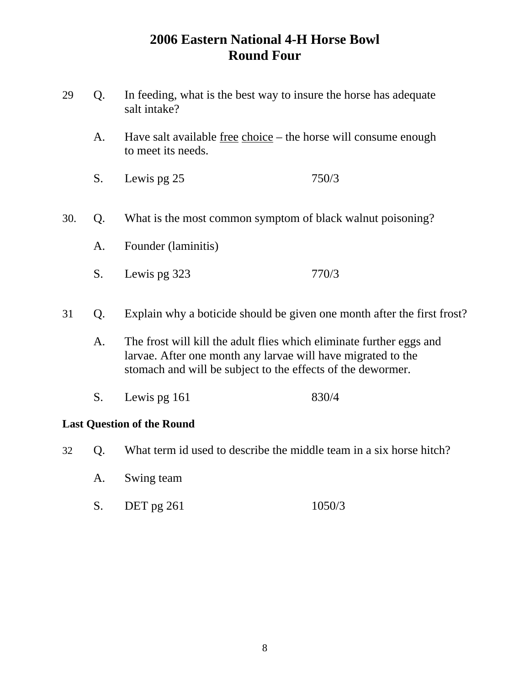- 29 Q. In feeding, what is the best way to insure the horse has adequate salt intake?
	- A. Have salt available free choice the horse will consume enough to meet its needs.
	- S. Lewis pg 25 750/3
- 30. Q. What is the most common symptom of black walnut poisoning?
	- A. Founder (laminitis)
	- S. Lewis pg 323 770/3
- 31 Q. Explain why a boticide should be given one month after the first frost?
	- A. The frost will kill the adult flies which eliminate further eggs and larvae. After one month any larvae will have migrated to the stomach and will be subject to the effects of the dewormer.
	- S. Lewis pg 161 830/4

#### **Last Question of the Round**

- 32 Q. What term id used to describe the middle team in a six horse hitch?
	- A. Swing team
	- S. DET pg 261 1050/3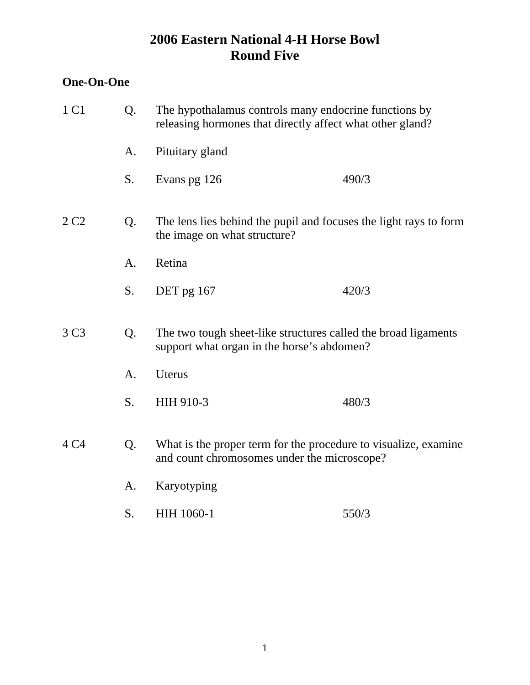### **One-On-One**

| 1 C1             | Q. | The hypothalamus controls many endocrine functions by<br>releasing hormones that directly affect what other gland? |       |
|------------------|----|--------------------------------------------------------------------------------------------------------------------|-------|
|                  | A. | Pituitary gland                                                                                                    |       |
|                  | S. | Evans pg 126                                                                                                       | 490/3 |
| 2C2              | Q. | The lens lies behind the pupil and focuses the light rays to form<br>the image on what structure?                  |       |
|                  | A. | Retina                                                                                                             |       |
|                  | S. | DET pg 167                                                                                                         | 420/3 |
| 3 C <sub>3</sub> | Q. | The two tough sheet-like structures called the broad ligaments<br>support what organ in the horse's abdomen?       |       |
|                  | A. | Uterus                                                                                                             |       |
|                  | S. | HIH 910-3                                                                                                          | 480/3 |
| 4 C4             | Q. | What is the proper term for the procedure to visualize, examine<br>and count chromosomes under the microscope?     |       |
|                  | A. | Karyotyping                                                                                                        |       |
|                  | S. | HIH 1060-1                                                                                                         | 550/3 |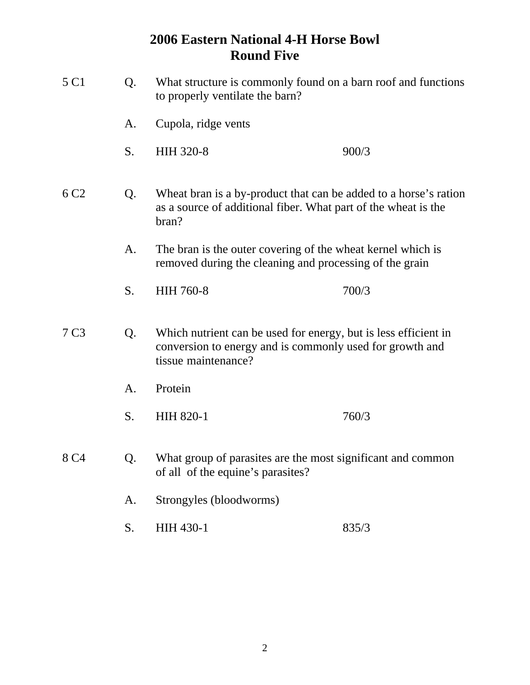| 5 C1             | Q. | What structure is commonly found on a barn roof and functions<br>to properly ventilate the barn?                                                   |       |  |  |
|------------------|----|----------------------------------------------------------------------------------------------------------------------------------------------------|-------|--|--|
|                  | A. | Cupola, ridge vents                                                                                                                                |       |  |  |
|                  | S. | <b>HIH 320-8</b>                                                                                                                                   | 900/3 |  |  |
| 6 C <sub>2</sub> | Q. | Wheat bran is a by-product that can be added to a horse's ration<br>as a source of additional fiber. What part of the wheat is the<br>bran?        |       |  |  |
|                  | A. | The bran is the outer covering of the wheat kernel which is<br>removed during the cleaning and processing of the grain                             |       |  |  |
|                  | S. | <b>HIH 760-8</b>                                                                                                                                   | 700/3 |  |  |
| 7 <sub>C3</sub>  | Q. | Which nutrient can be used for energy, but is less efficient in<br>conversion to energy and is commonly used for growth and<br>tissue maintenance? |       |  |  |
|                  | A. | Protein                                                                                                                                            |       |  |  |
|                  | S. | <b>HIH 820-1</b>                                                                                                                                   | 760/3 |  |  |
| 8 C4             | Q. | What group of parasites are the most significant and common<br>of all of the equine's parasites?                                                   |       |  |  |
|                  | A. | Strongyles (bloodworms)                                                                                                                            |       |  |  |
|                  | S. | HIH 430-1                                                                                                                                          | 835/3 |  |  |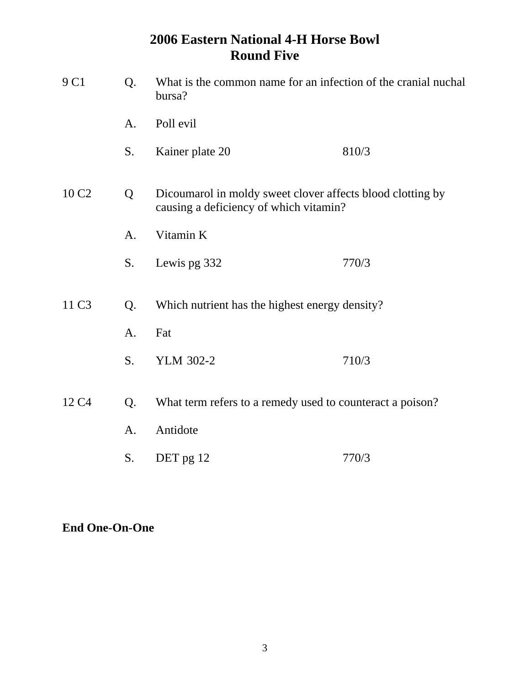| 9 C1              | Q.             | What is the common name for an infection of the cranial nuchal<br>bursa?                             |       |  |  |
|-------------------|----------------|------------------------------------------------------------------------------------------------------|-------|--|--|
|                   | A <sub>1</sub> | Poll evil                                                                                            |       |  |  |
|                   | S.             | Kainer plate 20                                                                                      | 810/3 |  |  |
| 10 C <sub>2</sub> | Q              | Dicoumarol in moldy sweet clover affects blood clotting by<br>causing a deficiency of which vitamin? |       |  |  |
|                   | A.             | Vitamin K                                                                                            |       |  |  |
|                   | S.             | Lewis pg 332                                                                                         | 770/3 |  |  |
| 11 C <sub>3</sub> | Q.             | Which nutrient has the highest energy density?                                                       |       |  |  |
|                   | A.             | Fat                                                                                                  |       |  |  |
|                   | S.             | <b>YLM 302-2</b>                                                                                     | 710/3 |  |  |
| 12 C <sub>4</sub> | Q.             | What term refers to a remedy used to counteract a poison?                                            |       |  |  |
|                   | A.             | Antidote                                                                                             |       |  |  |
|                   | S.             | DET pg 12                                                                                            | 770/3 |  |  |

### **End One-On-One**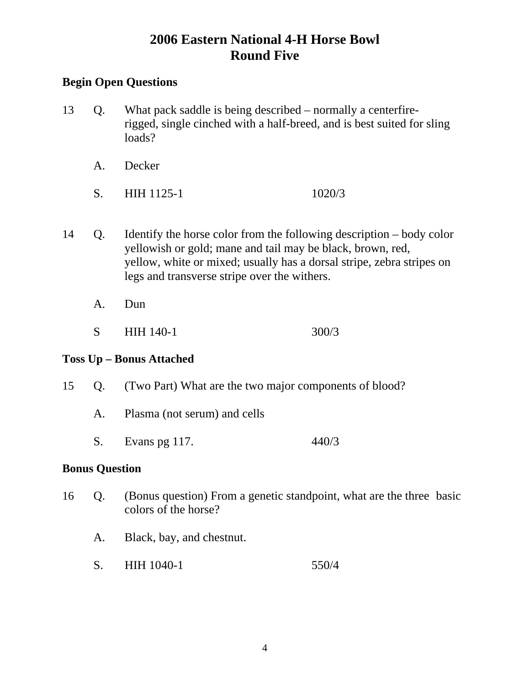### **Begin Open Questions**

- 13 Q. What pack saddle is being described normally a centerfire rigged, single cinched with a half-breed, and is best suited for sling loads?
	- A. Decker
	- S. HIH 1125-1 1020/3
- 14 Q. Identify the horse color from the following description body color yellowish or gold; mane and tail may be black, brown, red, yellow, white or mixed; usually has a dorsal stripe, zebra stripes on legs and transverse stripe over the withers.
	- A. Dun
	- S HIH 140-1 300/3

#### **Toss Up – Bonus Attached**

- 15 Q. (Two Part) What are the two major components of blood?
	- A. Plasma (not serum) and cells
	- S. Evans pg 117. 440/3

#### **Bonus Question**

- 16 Q. (Bonus question) From a genetic standpoint, what are the three basic colors of the horse?
	- A. Black, bay, and chestnut.
	- S. HIH 1040-1 550/4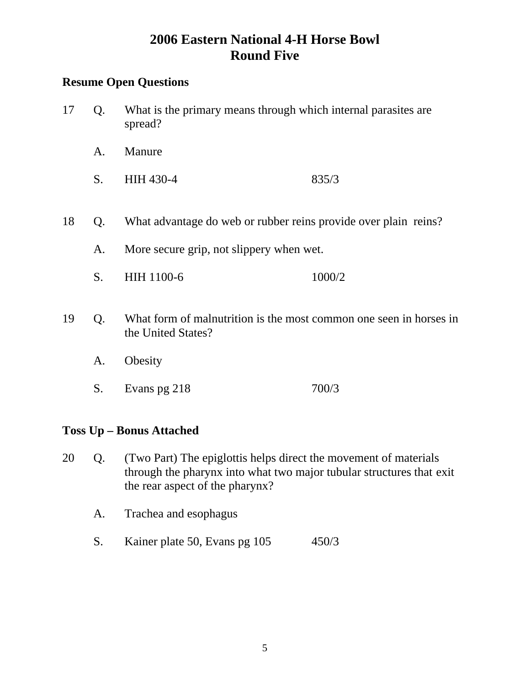### **Resume Open Questions**

- 17 Q. What is the primary means through which internal parasites are spread?
	- A. Manure
	- S. HIH 430-4 835/3
- 18 Q. What advantage do web or rubber reins provide over plain reins?
	- A. More secure grip, not slippery when wet.
	- S. HIH 1100-6 1000/2
- 19 Q. What form of malnutrition is the most common one seen in horses in the United States?
	- A. Obesity
	- S. Evans pg 218 700/3

### **Toss Up – Bonus Attached**

- 20 Q. (Two Part) The epiglottis helps direct the movement of materials through the pharynx into what two major tubular structures that exit the rear aspect of the pharynx?
	- A. Trachea and esophagus
	- S. Kainer plate 50, Evans pg 105 450/3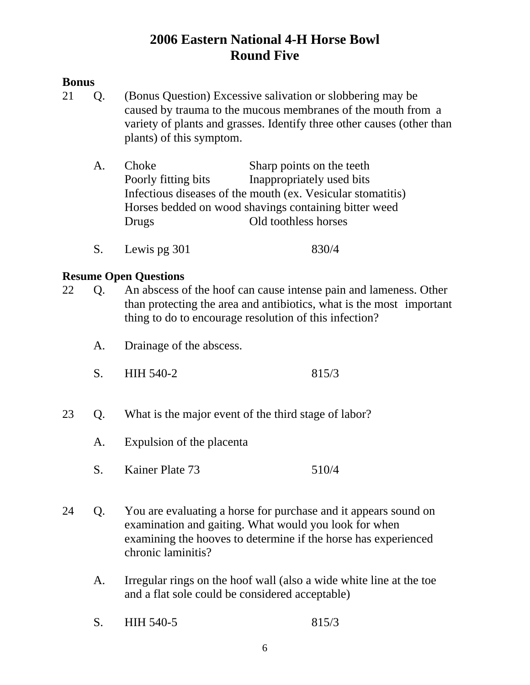### **Bonus**

- 21 Q. (Bonus Question) Excessive salivation or slobbering may be caused by trauma to the mucous membranes of the mouth from a variety of plants and grasses. Identify three other causes (other than plants) of this symptom.
	- A. Choke Sharp points on the teeth Poorly fitting bits Inappropriately used bits Infectious diseases of the mouth (ex. Vesicular stomatitis) Horses bedded on wood shavings containing bitter weed Drugs Old toothless horses
	- S. Lewis pg 301 830/4

- 22 Q. An abscess of the hoof can cause intense pain and lameness. Other than protecting the area and antibiotics, what is the most important thing to do to encourage resolution of this infection?
	- A. Drainage of the abscess.
	- S. HIH 540-2 815/3
- 23 Q. What is the major event of the third stage of labor?
	- A. Expulsion of the placenta
	- S. Kainer Plate 73 510/4
- 24 Q. You are evaluating a horse for purchase and it appears sound on examination and gaiting. What would you look for when examining the hooves to determine if the horse has experienced chronic laminitis?
	- A. Irregular rings on the hoof wall (also a wide white line at the toe and a flat sole could be considered acceptable)
	- S. HIH 540-5 815/3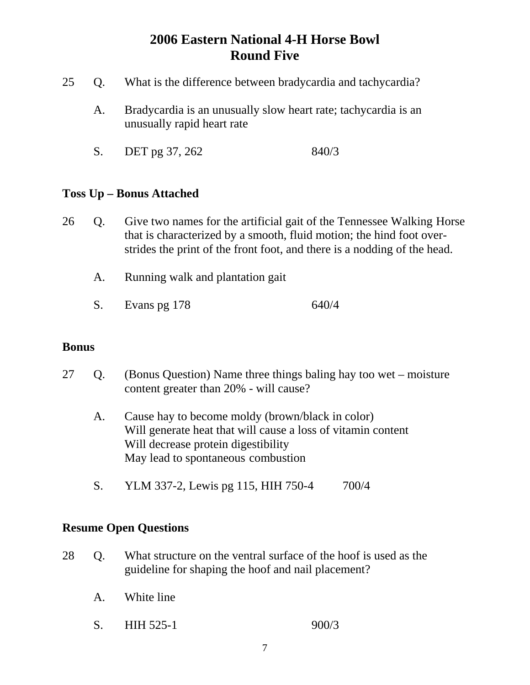- 25 Q. What is the difference between bradycardia and tachycardia?
	- A. Bradycardia is an unusually slow heart rate; tachycardia is an unusually rapid heart rate
	- S. DET pg 37, 262 840/3

#### **Toss Up – Bonus Attached**

- 26 Q. Give two names for the artificial gait of the Tennessee Walking Horse that is characterized by a smooth, fluid motion; the hind foot over strides the print of the front foot, and there is a nodding of the head.
	- A. Running walk and plantation gait
	- S. Evans pg 178 640/4

#### **Bonus**

- 27 Q. (Bonus Question) Name three things baling hay too wet moisture content greater than 20% - will cause?
	- A. Cause hay to become moldy (brown/black in color) Will generate heat that will cause a loss of vitamin content Will decrease protein digestibility May lead to spontaneous combustion
	- S. YLM 337-2, Lewis pg 115, HIH 750-4 700/4

- 28 Q. What structure on the ventral surface of the hoof is used as the guideline for shaping the hoof and nail placement?
	- A. White line
	- S. HIH 525-1 900/3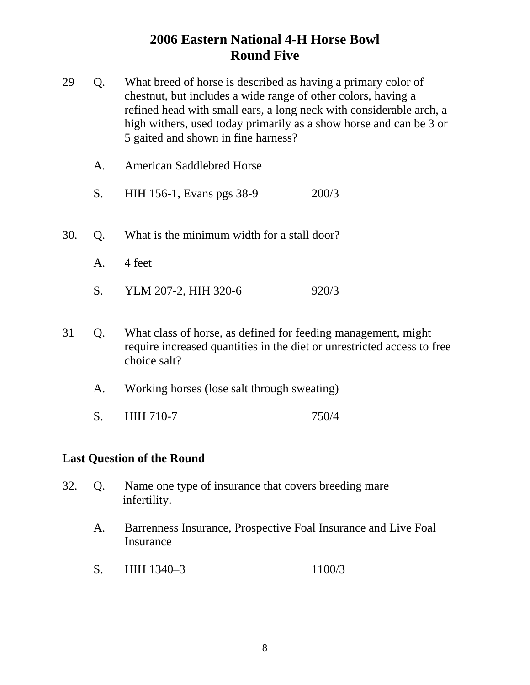- 29 Q. What breed of horse is described as having a primary color of chestnut, but includes a wide range of other colors, having a refined head with small ears, a long neck with considerable arch, a high withers, used today primarily as a show horse and can be 3 or 5 gaited and shown in fine harness?
	- A. American Saddlebred Horse
	- S. HIH 156-1, Evans pgs 38-9 200/3
- 30. Q. What is the minimum width for a stall door?
	- A. 4 feet
	- S. YLM 207-2, HIH 320-6 920/3
- 31 Q. What class of horse, as defined for feeding management, might require increased quantities in the diet or unrestricted access to free choice salt?
	- A. Working horses (lose salt through sweating)
	- S. HIH 710-7 750/4

#### **Last Question of the Round**

- 32. Q. Name one type of insurance that covers breeding mare infertility.
	- A. Barrenness Insurance, Prospective Foal Insurance and Live Foal Insurance
	- S. HIH 1340–3 1100/3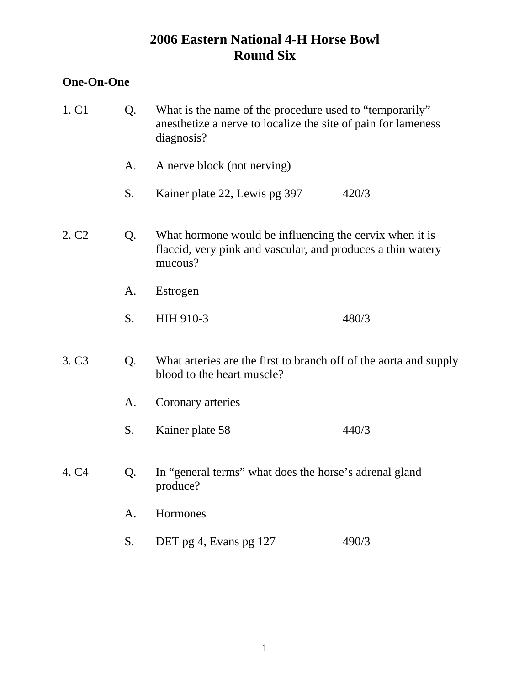## **One-On-One**

| 1. C1             | Q. | What is the name of the procedure used to "temporarily"<br>anesthetize a nerve to localize the site of pain for lameness<br>diagnosis? |       |  |
|-------------------|----|----------------------------------------------------------------------------------------------------------------------------------------|-------|--|
|                   | A. | A nerve block (not nerving)                                                                                                            |       |  |
|                   | S. | Kainer plate 22, Lewis pg 397                                                                                                          | 420/3 |  |
| 2. C <sub>2</sub> | Q. | What hormone would be influencing the cervix when it is<br>flaccid, very pink and vascular, and produces a thin watery<br>mucous?      |       |  |
|                   | A. | Estrogen                                                                                                                               |       |  |
|                   | S. | HIH 910-3                                                                                                                              | 480/3 |  |
| 3. C <sub>3</sub> | Q. | What arteries are the first to branch off of the aorta and supply<br>blood to the heart muscle?                                        |       |  |
|                   | A. | Coronary arteries                                                                                                                      |       |  |
|                   | S. | Kainer plate 58                                                                                                                        | 440/3 |  |
| 4. C <sub>4</sub> | Q. | In "general terms" what does the horse's adrenal gland<br>produce?                                                                     |       |  |
|                   | A. | Hormones                                                                                                                               |       |  |
|                   | S. | DET pg 4, Evans pg 127                                                                                                                 | 490/3 |  |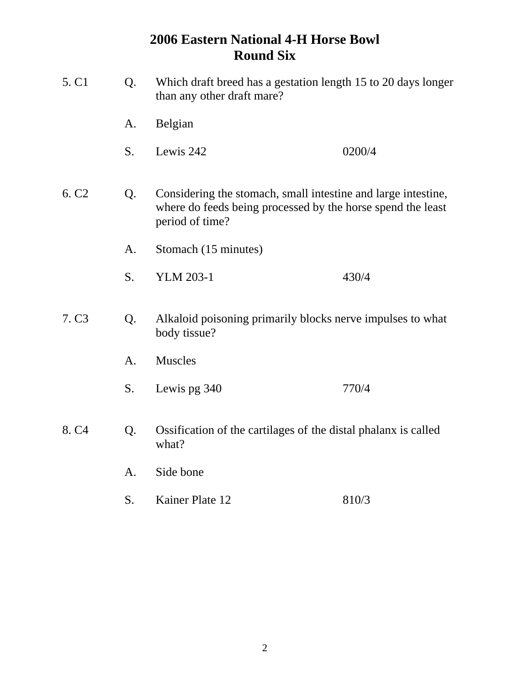| 5. C1             | Q. | Which draft breed has a gestation length 15 to 20 days longer<br>than any other draft mare?                                                     |                                                                |  |
|-------------------|----|-------------------------------------------------------------------------------------------------------------------------------------------------|----------------------------------------------------------------|--|
|                   | A. | Belgian                                                                                                                                         |                                                                |  |
|                   | S. | Lewis 242                                                                                                                                       | 0200/4                                                         |  |
| 6. C <sub>2</sub> | Q. | Considering the stomach, small intestine and large intestine,<br>where do feeds being processed by the horse spend the least<br>period of time? |                                                                |  |
|                   | A. | Stomach (15 minutes)                                                                                                                            |                                                                |  |
|                   | S. | <b>YLM 203-1</b>                                                                                                                                | 430/4                                                          |  |
| 7. C <sub>3</sub> | Q. | body tissue?                                                                                                                                    | Alkaloid poisoning primarily blocks nerve impulses to what     |  |
|                   | A. | <b>Muscles</b>                                                                                                                                  |                                                                |  |
|                   | S. | Lewis pg 340                                                                                                                                    | 770/4                                                          |  |
| 8. C <sub>4</sub> | Q. | what?                                                                                                                                           | Ossification of the cartilages of the distal phalanx is called |  |
|                   | A. | Side bone                                                                                                                                       |                                                                |  |
|                   | S. | Kainer Plate 12                                                                                                                                 | 810/3                                                          |  |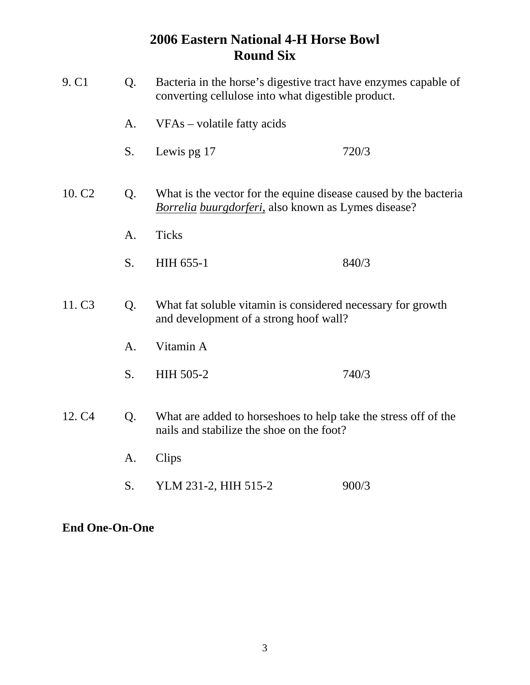| 9. C <sub>1</sub>  | Bacteria in the horse's digestive tract have enzymes capable of<br>Q.<br>converting cellulose into what digestible product. |                                                                                                                         |       |
|--------------------|-----------------------------------------------------------------------------------------------------------------------------|-------------------------------------------------------------------------------------------------------------------------|-------|
|                    | A.                                                                                                                          | VFAs - volatile fatty acids                                                                                             |       |
|                    | S.                                                                                                                          | Lewis pg 17                                                                                                             | 720/3 |
| 10. C <sub>2</sub> | Q.                                                                                                                          | What is the vector for the equine disease caused by the bacteria<br>Borrelia buurgdorferi, also known as Lymes disease? |       |
|                    | A.                                                                                                                          | <b>Ticks</b>                                                                                                            |       |
|                    | S.                                                                                                                          | HIH 655-1                                                                                                               | 840/3 |
| 11. C <sub>3</sub> | Q.<br>What fat soluble vitamin is considered necessary for growth<br>and development of a strong hoof wall?                 |                                                                                                                         |       |
|                    | A.                                                                                                                          | Vitamin A                                                                                                               |       |
|                    | S.                                                                                                                          | <b>HIH 505-2</b>                                                                                                        | 740/3 |
| 12. C <sub>4</sub> | Q.                                                                                                                          | What are added to horse shoes to help take the stress off of the<br>nails and stabilize the shoe on the foot?           |       |
|                    | A.                                                                                                                          | Clips                                                                                                                   |       |
|                    | S.                                                                                                                          | YLM 231-2, HIH 515-2                                                                                                    | 900/3 |

### **End One-On-One**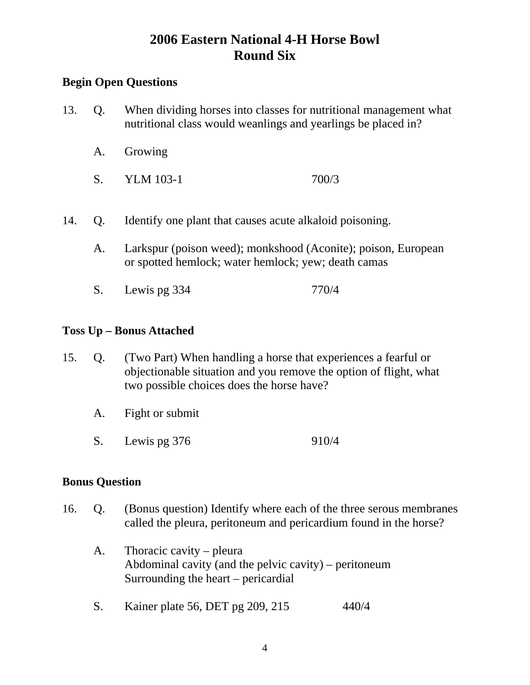### **Begin Open Questions**

- 13. Q. When dividing horses into classes for nutritional management what nutritional class would weanlings and yearlings be placed in?
	- A. Growing
	- S. YLM 103-1 700/3
- 14. Q. Identify one plant that causes acute alkaloid poisoning.
	- A. Larkspur (poison weed); monkshood (Aconite); poison, European or spotted hemlock; water hemlock; yew; death camas
	- S. Lewis pg 334 770/4

#### **Toss Up – Bonus Attached**

- 15. Q. (Two Part) When handling a horse that experiences a fearful or objectionable situation and you remove the option of flight, what two possible choices does the horse have?
	- A. Fight or submit
	- S. Lewis pg 376 910/4

#### **Bonus Question**

- 16. Q. (Bonus question) Identify where each of the three serous membranes called the pleura, peritoneum and pericardium found in the horse?
	- A. Thoracic cavity pleura Abdominal cavity (and the pelvic cavity) – peritoneum Surrounding the heart – pericardial
	- S. Kainer plate 56, DET pg 209, 215 440/4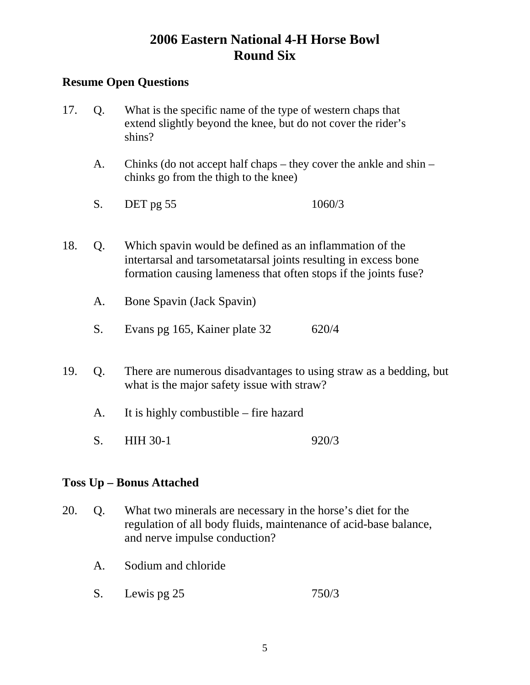### **Resume Open Questions**

- 17. Q. What is the specific name of the type of western chaps that extend slightly beyond the knee, but do not cover the rider's shins?
	- A. Chinks (do not accept half chaps they cover the ankle and shin chinks go from the thigh to the knee)
	- S. DET pg 55 1060/3
- 18. Q. Which spavin would be defined as an inflammation of the intertarsal and tarsometatarsal joints resulting in excess bone formation causing lameness that often stops if the joints fuse?
	- A. Bone Spavin (Jack Spavin)
	- S. Evans pg 165, Kainer plate 32 620/4
- 19. Q. There are numerous disadvantages to using straw as a bedding, but what is the major safety issue with straw?
	- A. It is highly combustible fire hazard
	- S. HIH 30-1 920/3

### **Toss Up – Bonus Attached**

- 20. Q. What two minerals are necessary in the horse's diet for the regulation of all body fluids, maintenance of acid-base balance, and nerve impulse conduction?
	- A. Sodium and chloride
	- S. Lewis pg 25 750/3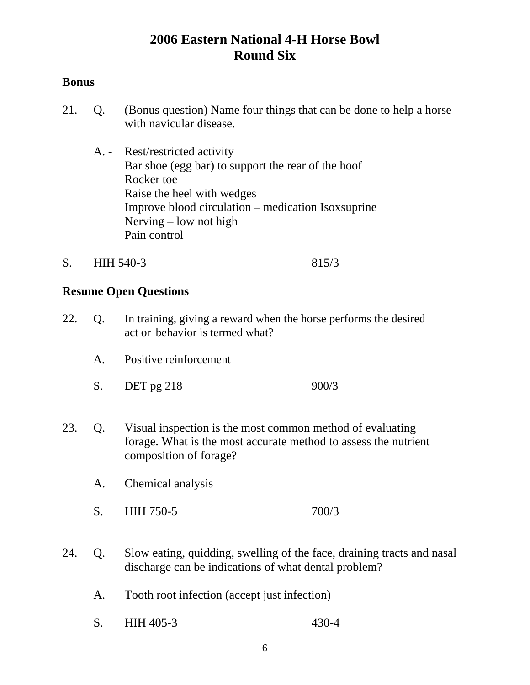### **Bonus**

- 21. Q. (Bonus question) Name four things that can be done to help a horse with navicular disease.
	- A. Rest/restricted activity Bar shoe (egg bar) to support the rear of the hoof Rocker toe Raise the heel with wedges Improve blood circulation – medication Isoxsuprine Nerving – low not high Pain control
- S. HIH 540-3 815/3

- 22. Q. In training, giving a reward when the horse performs the desired act or behavior is termed what?
	- A. Positive reinforcement
	- S. DET pg 218 900/3
- 23. Q. Visual inspection is the most common method of evaluating forage. What is the most accurate method to assess the nutrient composition of forage?
	- A. Chemical analysis
	- S. HIH 750-5 700/3
- 24. Q. Slow eating, quidding, swelling of the face, draining tracts and nasal discharge can be indications of what dental problem?
	- A. Tooth root infection (accept just infection)
	- S. HIH 405-3 430-4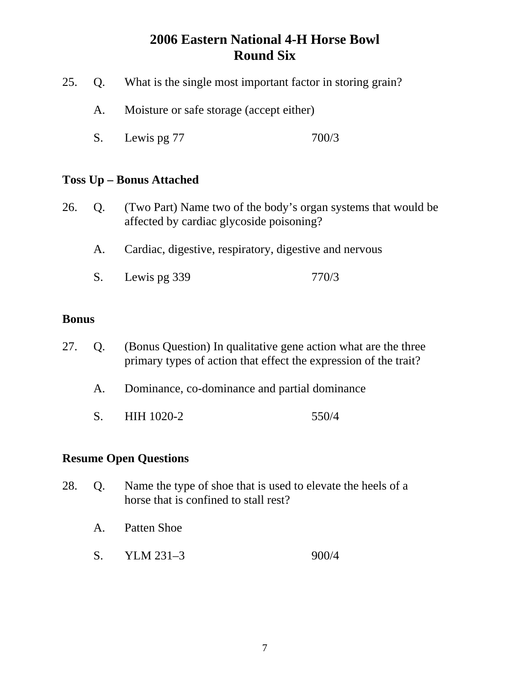- 25. Q. What is the single most important factor in storing grain?
	- A. Moisture or safe storage (accept either)
	- S. Lewis pg 77 700/3

#### **Toss Up – Bonus Attached**

- 26. Q. (Two Part) Name two of the body's organ systems that would be affected by cardiac glycoside poisoning?
	- A. Cardiac, digestive, respiratory, digestive and nervous
	- S. Lewis pg 339 770/3

#### **Bonus**

- 27. Q. (Bonus Question) In qualitative gene action what are the three primary types of action that effect the expression of the trait?
	- A. Dominance, co-dominance and partial dominance
	- S. HIH 1020-2 550/4

- 28. Q. Name the type of shoe that is used to elevate the heels of a horse that is confined to stall rest?
	- A. Patten Shoe
	- S. YLM 231-3 900/4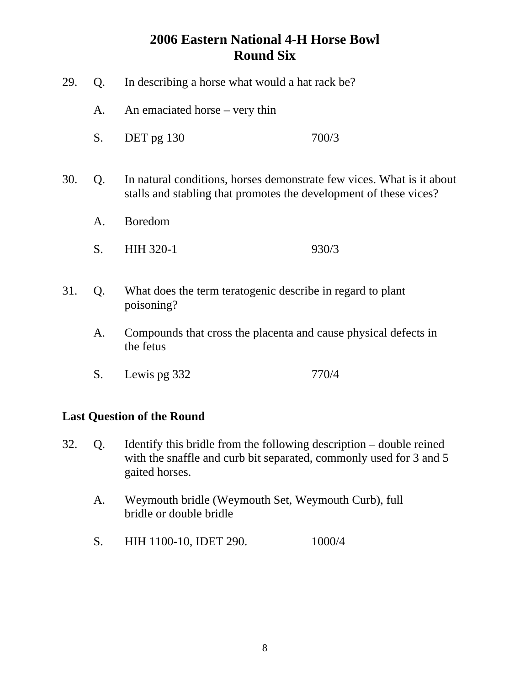29. Q. In describing a horse what would a hat rack be? A. An emaciated horse – very thin S. DET pg 130 700/3 30. Q. In natural conditions, horses demonstrate few vices. What is it about stalls and stabling that promotes the development of these vices? A. Boredom S. HIH 320-1 930/3 31. Q. What does the term teratogenic describe in regard to plant poisoning? A. Compounds that cross the placenta and cause physical defects in the fetus S. Lewis pg 332 770/4

### **Last Question of the Round**

- 32. Q. Identify this bridle from the following description double reined with the snaffle and curb bit separated, commonly used for 3 and 5 gaited horses.
	- A. Weymouth bridle (Weymouth Set, Weymouth Curb), full bridle or double bridle
	- S. HIH 1100-10, IDET 290. 1000/4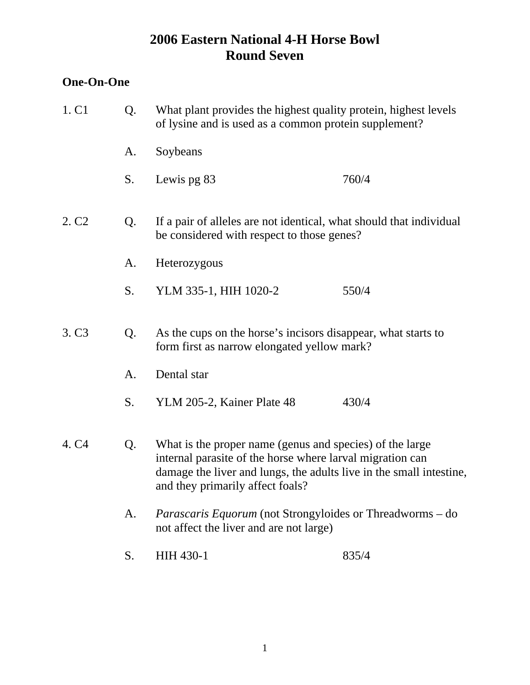## **One-On-One**

| 1. C1             | Q. | What plant provides the highest quality protein, highest levels<br>of lysine and is used as a common protein supplement?                                                                                                         |       |  |
|-------------------|----|----------------------------------------------------------------------------------------------------------------------------------------------------------------------------------------------------------------------------------|-------|--|
|                   | A. | Soybeans                                                                                                                                                                                                                         |       |  |
|                   | S. | Lewis pg 83                                                                                                                                                                                                                      | 760/4 |  |
| 2. C <sub>2</sub> | Q. | If a pair of alleles are not identical, what should that individual<br>be considered with respect to those genes?                                                                                                                |       |  |
|                   | A. | Heterozygous                                                                                                                                                                                                                     |       |  |
|                   | S. | YLM 335-1, HIH 1020-2                                                                                                                                                                                                            | 550/4 |  |
| 3. C <sub>3</sub> | Q. | As the cups on the horse's incisors disappear, what starts to<br>form first as narrow elongated yellow mark?                                                                                                                     |       |  |
|                   | A. | Dental star                                                                                                                                                                                                                      |       |  |
|                   | S. | YLM 205-2, Kainer Plate 48                                                                                                                                                                                                       | 430/4 |  |
| 4. C <sub>4</sub> | Q. | What is the proper name (genus and species) of the large<br>internal parasite of the horse where larval migration can<br>damage the liver and lungs, the adults live in the small intestine,<br>and they primarily affect foals? |       |  |
|                   | A. | <i>Parascaris Equorum</i> (not Strongyloides or Threadworms – do<br>not affect the liver and are not large)                                                                                                                      |       |  |
|                   | S. | HIH 430-1                                                                                                                                                                                                                        | 835/4 |  |
|                   |    |                                                                                                                                                                                                                                  |       |  |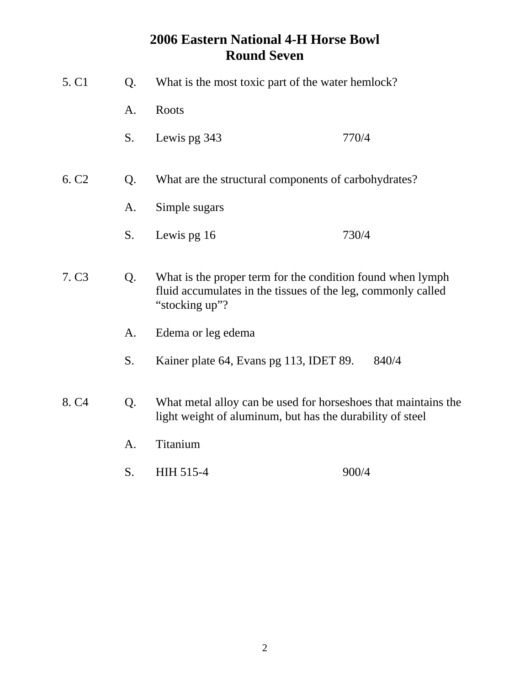| 5. C1             | Q. | What is the most toxic part of the water hemlock?                                                                                            |       |  |
|-------------------|----|----------------------------------------------------------------------------------------------------------------------------------------------|-------|--|
|                   | A. | Roots                                                                                                                                        |       |  |
|                   | S. | Lewis pg 343                                                                                                                                 | 770/4 |  |
| 6. C <sub>2</sub> | Q. | What are the structural components of carbohydrates?                                                                                         |       |  |
|                   | A. | Simple sugars                                                                                                                                |       |  |
|                   | S. | Lewis pg 16                                                                                                                                  | 730/4 |  |
| 7. C <sub>3</sub> | Q. | What is the proper term for the condition found when lymph<br>fluid accumulates in the tissues of the leg, commonly called<br>"stocking up"? |       |  |
|                   | A. | Edema or leg edema                                                                                                                           |       |  |
|                   | S. | Kainer plate 64, Evans pg 113, IDET 89.                                                                                                      | 840/4 |  |
| 8. C <sub>4</sub> | Q. | What metal alloy can be used for horseshoes that maintains the<br>light weight of aluminum, but has the durability of steel                  |       |  |
|                   | A. | Titanium                                                                                                                                     |       |  |
|                   | S. | HIH 515-4                                                                                                                                    | 900/4 |  |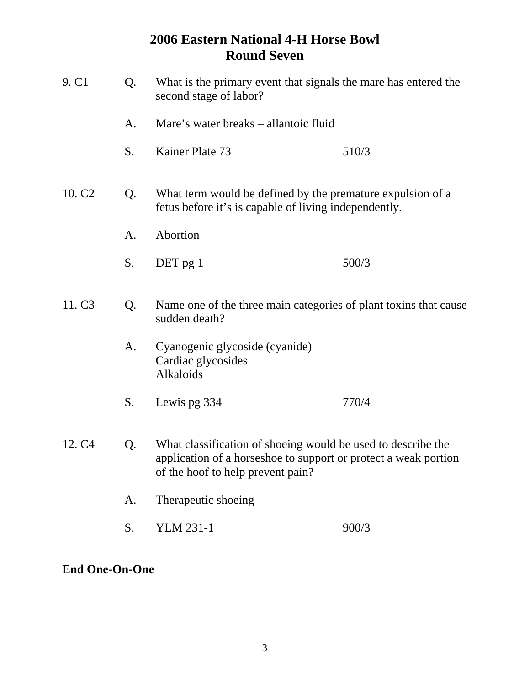| 9. C1              | Q. | What is the primary event that signals the mare has entered the<br>second stage of labor?                                                                            |                                                                                                                     |  |
|--------------------|----|----------------------------------------------------------------------------------------------------------------------------------------------------------------------|---------------------------------------------------------------------------------------------------------------------|--|
|                    | A. | Mare's water breaks – allantoic fluid                                                                                                                                |                                                                                                                     |  |
|                    | S. | Kainer Plate 73                                                                                                                                                      | 510/3                                                                                                               |  |
| 10. C <sub>2</sub> | Q. |                                                                                                                                                                      | What term would be defined by the premature expulsion of a<br>fetus before it's is capable of living independently. |  |
|                    | A. | Abortion                                                                                                                                                             |                                                                                                                     |  |
|                    | S. | DET pg 1                                                                                                                                                             | 500/3                                                                                                               |  |
| 11. C <sub>3</sub> | Q. | Name one of the three main categories of plant toxins that cause<br>sudden death?                                                                                    |                                                                                                                     |  |
|                    | A. | Cyanogenic glycoside (cyanide)<br>Cardiac glycosides<br>Alkaloids                                                                                                    |                                                                                                                     |  |
|                    | S. | Lewis pg 334                                                                                                                                                         | 770/4                                                                                                               |  |
| 12. C <sub>4</sub> | Q. | What classification of shoeing would be used to describe the<br>application of a horseshoe to support or protect a weak portion<br>of the hoof to help prevent pain? |                                                                                                                     |  |
|                    | A. | Therapeutic shoeing                                                                                                                                                  |                                                                                                                     |  |
|                    | S. | YLM 231-1                                                                                                                                                            | 900/3                                                                                                               |  |

## **End One-On-One**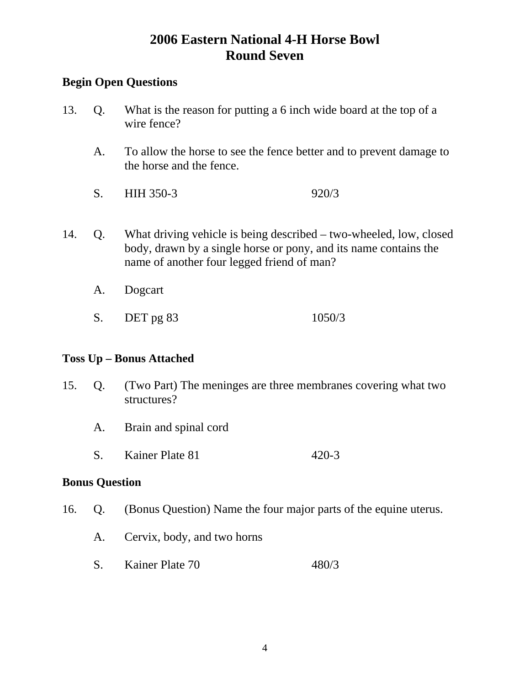### **Begin Open Questions**

- 13. Q. What is the reason for putting a 6 inch wide board at the top of a wire fence?
	- A. To allow the horse to see the fence better and to prevent damage to the horse and the fence.
	- S. HIH 350-3 920/3
- 14. Q. What driving vehicle is being described two-wheeled, low, closed body, drawn by a single horse or pony, and its name contains the name of another four legged friend of man?
	- A. Dogcart
	- S. DET pg 83 1050/3

#### **Toss Up – Bonus Attached**

- 15. Q. (Two Part) The meninges are three membranes covering what two structures?
	- A. Brain and spinal cord
	- S. Kainer Plate 81 420-3

#### **Bonus Question**

- 16. Q. (Bonus Question) Name the four major parts of the equine uterus.
	- A. Cervix, body, and two horns
	- S. Kainer Plate 70 480/3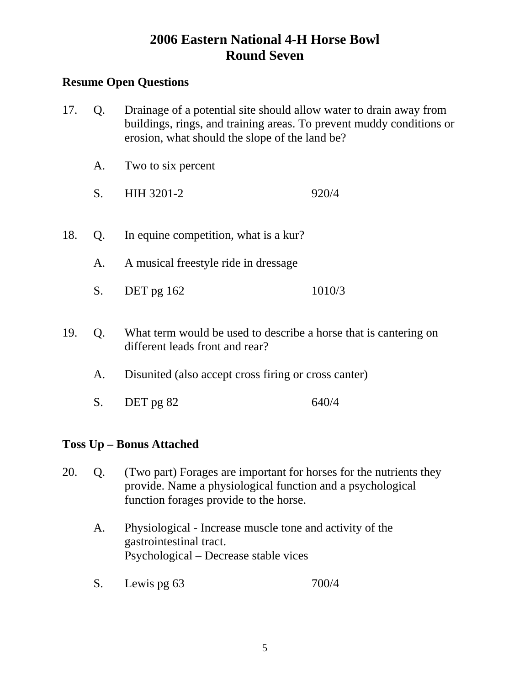### **Resume Open Questions**

- 17. Q. Drainage of a potential site should allow water to drain away from buildings, rings, and training areas. To prevent muddy conditions or erosion, what should the slope of the land be?
	- A. Two to six percent
	- S. HIH 3201-2 920/4
- 18. Q. In equine competition, what is a kur?
	- A. A musical freestyle ride in dressage
	- S. DET pg 162 1010/3
- 19. Q. What term would be used to describe a horse that is cantering on different leads front and rear?
	- A. Disunited (also accept cross firing or cross canter)
	- S. DET pg 82 640/4

### **Toss Up – Bonus Attached**

- 20. Q. (Two part) Forages are important for horses for the nutrients they provide. Name a physiological function and a psychological function forages provide to the horse.
	- A. Physiological Increase muscle tone and activity of the gastrointestinal tract. Psychological – Decrease stable vices
	- S. Lewis pg 63 700/4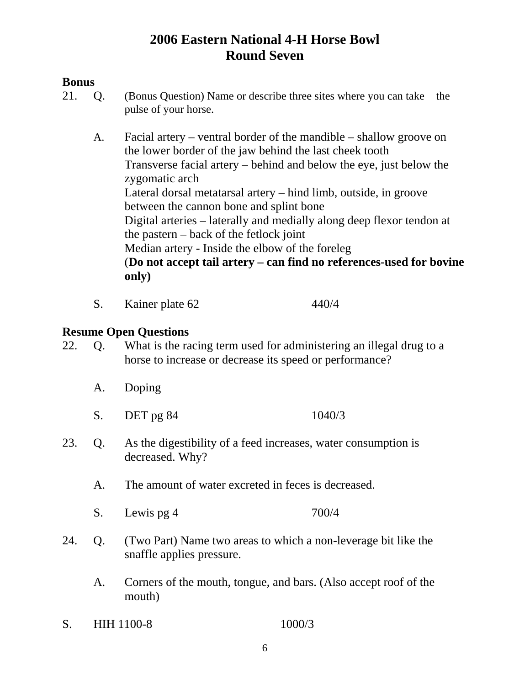### **Bonus**

- 21. Q. (Bonus Question) Name or describe three sites where you can take the pulse of your horse.
	- A. Facial artery ventral border of the mandible shallow groove on the lower border of the jaw behind the last cheek tooth Transverse facial artery – behind and below the eye, just below the zygomatic arch Lateral dorsal metatarsal artery – hind limb, outside, in groove between the cannon bone and splint bone Digital arteries – laterally and medially along deep flexor tendon at the pastern – back of the fetlock joint Median artery - Inside the elbow of the foreleg (**Do not accept tail artery – can find no references-used for bovine only)**
	- S. Kainer plate 62 440/4

- 22. Q. What is the racing term used for administering an illegal drug to a horse to increase or decrease its speed or performance?
	- A. Doping
	- S. DET pg 84 1040/3
- 23. Q. As the digestibility of a feed increases, water consumption is decreased. Why?
	- A. The amount of water excreted in feces is decreased.
	- S. Lewis pg 4 700/4
- 24. Q. (Two Part) Name two areas to which a non-leverage bit like the snaffle applies pressure.
	- A. Corners of the mouth, tongue, and bars. (Also accept roof of the mouth)
- S. HIH 1100-8 1000/3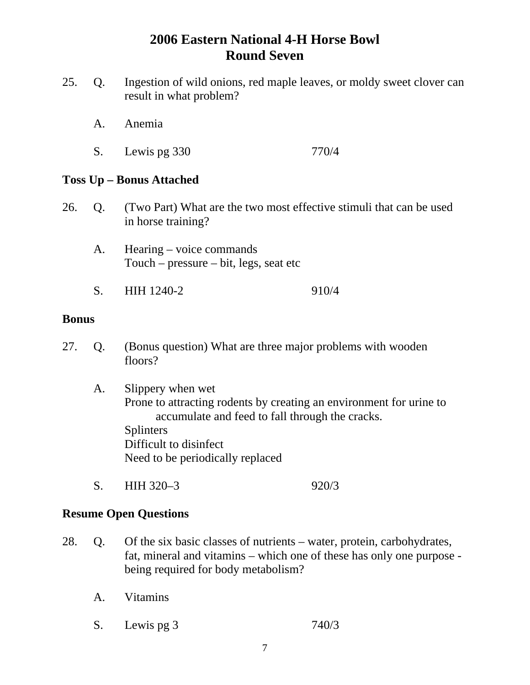- 25. Q. Ingestion of wild onions, red maple leaves, or moldy sweet clover can result in what problem?
	- A. Anemia
	- S. Lewis pg 330 770/4

#### **Toss Up – Bonus Attached**

- 26. Q. (Two Part) What are the two most effective stimuli that can be used in horse training?
	- A. Hearing voice commands Touch – pressure – bit, legs, seat etc
	- S. HIH 1240-2 910/4

#### **Bonus**

- 27. Q. (Bonus question) What are three major problems with wooden floors?
	- A. Slippery when wet Prone to attracting rodents by creating an environment for urine to accumulate and feed to fall through the cracks. Splinters Difficult to disinfect Need to be periodically replaced
	- S. HIH 320–3 920/3

- 28. Q. Of the six basic classes of nutrients water, protein, carbohydrates, fat, mineral and vitamins – which one of these has only one purpose being required for body metabolism?
	- A. Vitamins
	- S. Lewis pg 3 740/3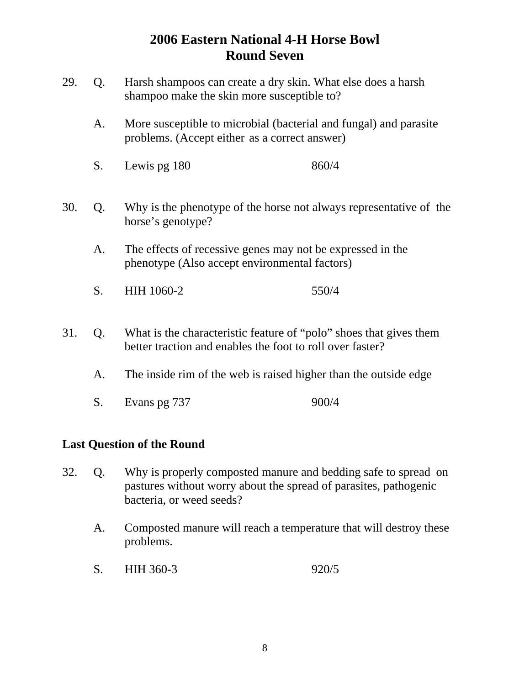- 29. Q. Harsh shampoos can create a dry skin. What else does a harsh shampoo make the skin more susceptible to?
	- A. More susceptible to microbial (bacterial and fungal) and parasite problems. (Accept either as a correct answer)
	- S. Lewis pg  $180$  860/4
- 30. Q. Why is the phenotype of the horse not always representative of the horse's genotype?
	- A. The effects of recessive genes may not be expressed in the phenotype (Also accept environmental factors)
	- S. HIH 1060-2 550/4
- 31. Q. What is the characteristic feature of "polo" shoes that gives them better traction and enables the foot to roll over faster?
	- A. The inside rim of the web is raised higher than the outside edge
	- S. Evans pg 737 900/4

### **Last Question of the Round**

- 32. Q. Why is properly composted manure and bedding safe to spread on pastures without worry about the spread of parasites, pathogenic bacteria, or weed seeds?
	- A. Composted manure will reach a temperature that will destroy these problems.
	- S. HIH 360-3 920/5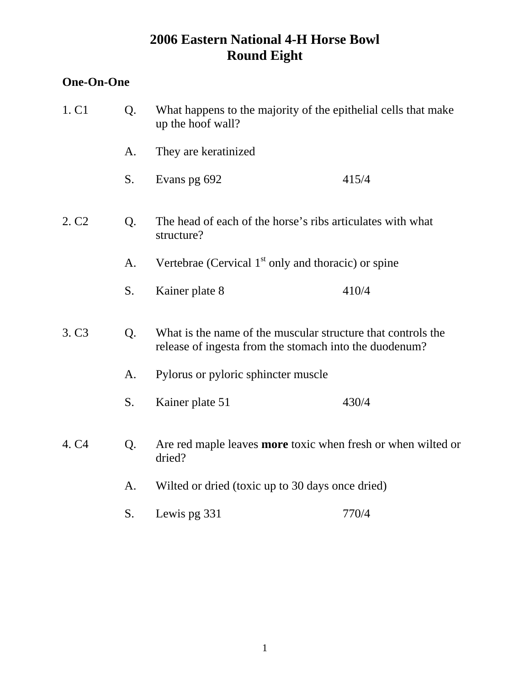## **One-On-One**

| 1. C1             | Q. | What happens to the majority of the epithelial cells that make<br>up the hoof wall?                                    |       |  |
|-------------------|----|------------------------------------------------------------------------------------------------------------------------|-------|--|
|                   | A. | They are keratinized                                                                                                   |       |  |
|                   | S. | Evans pg 692                                                                                                           | 415/4 |  |
| 2. C <sub>2</sub> | Q. | The head of each of the horse's ribs articulates with what<br>structure?                                               |       |  |
|                   | A. | Vertebrae (Cervical $1st$ only and thoracic) or spine                                                                  |       |  |
|                   | S. | Kainer plate 8                                                                                                         | 410/4 |  |
| 3. C <sub>3</sub> | Q. | What is the name of the muscular structure that controls the<br>release of ingesta from the stomach into the duodenum? |       |  |
|                   | A. | Pylorus or pyloric sphincter muscle                                                                                    |       |  |
|                   | S. | Kainer plate 51                                                                                                        | 430/4 |  |
| 4. C <sub>4</sub> | Q. | Are red maple leaves more toxic when fresh or when wilted or<br>dried?                                                 |       |  |
|                   | A. | Wilted or dried (toxic up to 30 days once dried)                                                                       |       |  |
|                   | S. | Lewis pg 331                                                                                                           | 770/4 |  |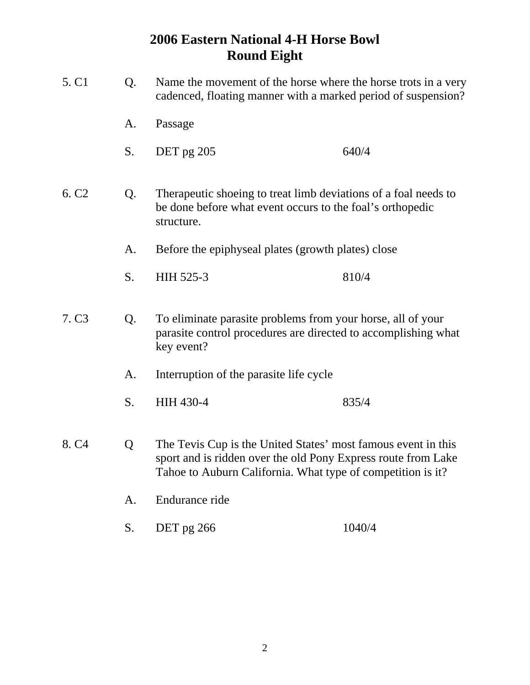| 5. C <sub>1</sub> | Q. | Name the movement of the horse where the horse trots in a very<br>cadenced, floating manner with a marked period of suspension?                                                               |        |  |
|-------------------|----|-----------------------------------------------------------------------------------------------------------------------------------------------------------------------------------------------|--------|--|
|                   | A. | Passage                                                                                                                                                                                       |        |  |
|                   | S. | DET pg 205                                                                                                                                                                                    | 640/4  |  |
| 6. C <sub>2</sub> | Q. | Therapeutic shoeing to treat limb deviations of a foal needs to<br>be done before what event occurs to the foal's orthopedic<br>structure.                                                    |        |  |
|                   | A. | Before the epiphyseal plates (growth plates) close                                                                                                                                            |        |  |
|                   | S. | HIH 525-3                                                                                                                                                                                     | 810/4  |  |
| 7. C <sub>3</sub> | Q. | To eliminate parasite problems from your horse, all of your<br>parasite control procedures are directed to accomplishing what<br>key event?                                                   |        |  |
|                   | A. | Interruption of the parasite life cycle                                                                                                                                                       |        |  |
|                   | S. | HIH 430-4                                                                                                                                                                                     | 835/4  |  |
| 8. C <sub>4</sub> | Q  | The Tevis Cup is the United States' most famous event in this<br>sport and is ridden over the old Pony Express route from Lake<br>Tahoe to Auburn California. What type of competition is it? |        |  |
|                   | A. | Endurance ride                                                                                                                                                                                |        |  |
|                   | S. | DET pg 266                                                                                                                                                                                    | 1040/4 |  |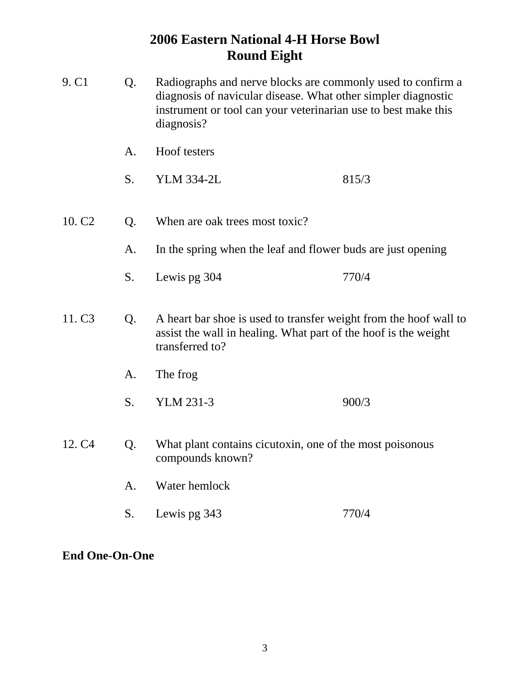| 9. C <sub>1</sub>  | Q. | Radiographs and nerve blocks are commonly used to confirm a<br>diagnosis of navicular disease. What other simpler diagnostic<br>instrument or tool can your veterinarian use to best make this<br>diagnosis? |       |
|--------------------|----|--------------------------------------------------------------------------------------------------------------------------------------------------------------------------------------------------------------|-------|
|                    | A. | Hoof testers                                                                                                                                                                                                 |       |
|                    | S. | <b>YLM 334-2L</b>                                                                                                                                                                                            | 815/3 |
| 10. C <sub>2</sub> | Q. | When are oak trees most toxic?                                                                                                                                                                               |       |
|                    | A. | In the spring when the leaf and flower buds are just opening                                                                                                                                                 |       |
|                    | S. | Lewis pg 304                                                                                                                                                                                                 | 770/4 |
| 11. C <sub>3</sub> | Q. | A heart bar shoe is used to transfer weight from the hoof wall to<br>assist the wall in healing. What part of the hoof is the weight<br>transferred to?                                                      |       |
|                    | A. | The frog                                                                                                                                                                                                     |       |
|                    | S. | YLM 231-3                                                                                                                                                                                                    | 900/3 |
| 12. C <sub>4</sub> | Q. | What plant contains cicutoxin, one of the most poisonous<br>compounds known?                                                                                                                                 |       |
|                    | A. | Water hemlock                                                                                                                                                                                                |       |
|                    | S. | Lewis pg 343                                                                                                                                                                                                 | 770/4 |

**End One-On-One**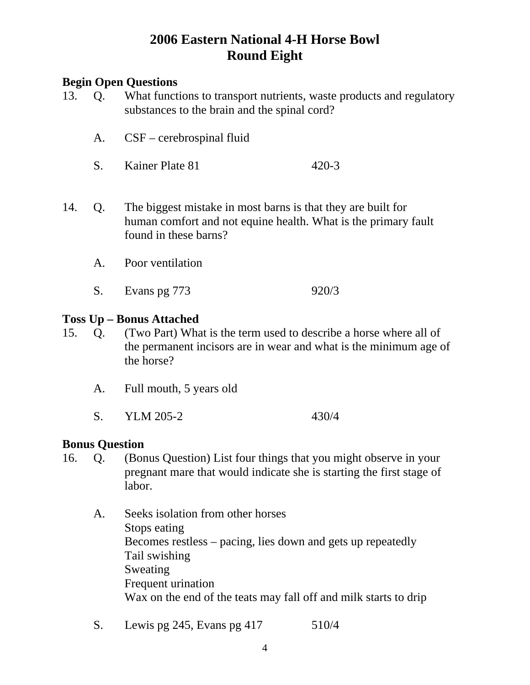### **Begin Open Questions**

- 13. Q. What functions to transport nutrients, waste products and regulatory substances to the brain and the spinal cord?
	- A. CSF cerebrospinal fluid
	- S. Kainer Plate 81 420-3
- 14. Q. The biggest mistake in most barns is that they are built for human comfort and not equine health. What is the primary fault found in these barns?
	- A. Poor ventilation
	- S. Evans pg 773 920/3

#### **Toss Up – Bonus Attached**

- 15. Q. (Two Part) What is the term used to describe a horse where all of the permanent incisors are in wear and what is the minimum age of the horse?
	- A. Full mouth, 5 years old
	- S. YLM 205-2 430/4

#### **Bonus Question**

- 16. Q. (Bonus Question) List four things that you might observe in your pregnant mare that would indicate she is starting the first stage of labor.
	- A. Seeks isolation from other horses Stops eating Becomes restless – pacing, lies down and gets up repeatedly Tail swishing Sweating Frequent urination Wax on the end of the teats may fall off and milk starts to drip
	- S. Lewis pg 245, Evans pg 417 510/4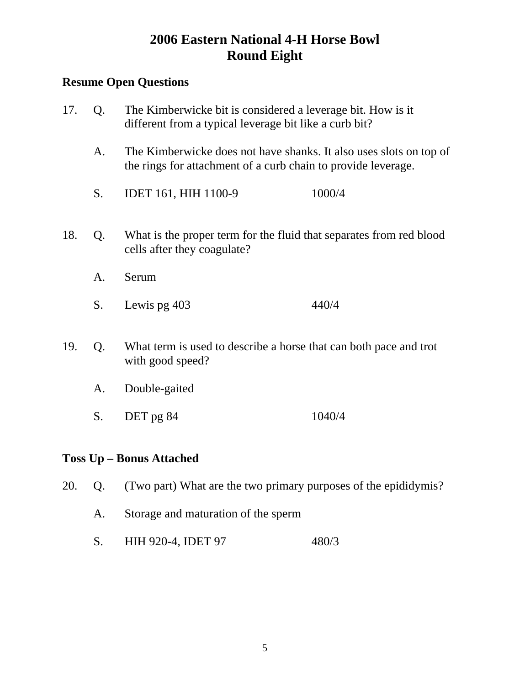## **Resume Open Questions**

| 17. | Q. | The Kimberwicke bit is considered a leverage bit. How is it<br>different from a typical leverage bit like a curb bit?<br>The Kimberwicke does not have shanks. It also uses slots on top of<br>the rings for attachment of a curb chain to provide leverage. |        |  |
|-----|----|--------------------------------------------------------------------------------------------------------------------------------------------------------------------------------------------------------------------------------------------------------------|--------|--|
|     | A. |                                                                                                                                                                                                                                                              |        |  |
|     | S. | IDET 161, HIH 1100-9                                                                                                                                                                                                                                         | 1000/4 |  |
| 18. | Q. | What is the proper term for the fluid that separates from red blood<br>cells after they coagulate?                                                                                                                                                           |        |  |
|     | A. | Serum                                                                                                                                                                                                                                                        |        |  |
|     | S. | Lewis pg 403                                                                                                                                                                                                                                                 | 440/4  |  |
| 19. | Q. | What term is used to describe a horse that can both pace and trot<br>with good speed?                                                                                                                                                                        |        |  |
|     | A. | Double-gaited                                                                                                                                                                                                                                                |        |  |
|     | S. | DET pg 84                                                                                                                                                                                                                                                    | 1040/4 |  |

### **Toss Up – Bonus Attached**

20. Q. (Two part) What are the two primary purposes of the epididymis?

- A. Storage and maturation of the sperm
- S. HIH 920-4, IDET 97 480/3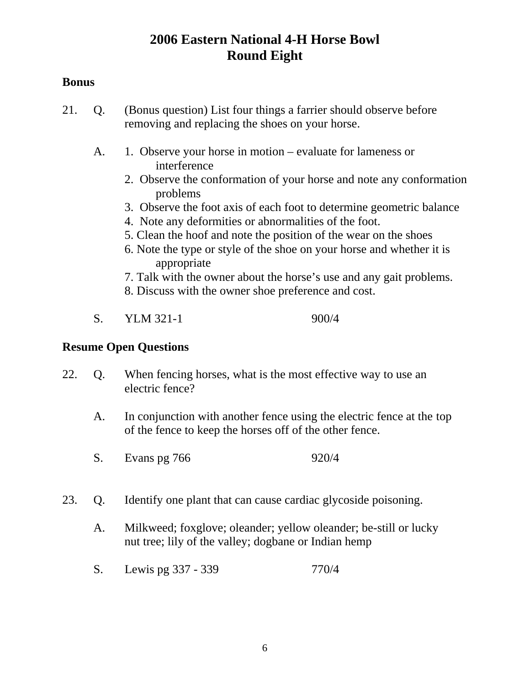### **Bonus**

- 21. Q. (Bonus question) List four things a farrier should observe before removing and replacing the shoes on your horse.
	- A. 1. Observe your horse in motion evaluate for lameness or interference
		- 2. Observe the conformation of your horse and note any conformation problems
		- 3. Observe the foot axis of each foot to determine geometric balance
		- 4. Note any deformities or abnormalities of the foot.
		- 5. Clean the hoof and note the position of the wear on the shoes
		- 6. Note the type or style of the shoe on your horse and whether it is appropriate
		- 7. Talk with the owner about the horse's use and any gait problems.
		- 8. Discuss with the owner shoe preference and cost.
	- S. YLM 321-1 900/4

- 22. Q. When fencing horses, what is the most effective way to use an electric fence?
	- A. In conjunction with another fence using the electric fence at the top of the fence to keep the horses off of the other fence.
	- S. Evans pg 766 920/4
- 23. Q. Identify one plant that can cause cardiac glycoside poisoning.
	- A. Milkweed; foxglove; oleander; yellow oleander; be-still or lucky nut tree; lily of the valley; dogbane or Indian hemp
	- S. Lewis pg 337 339 770/4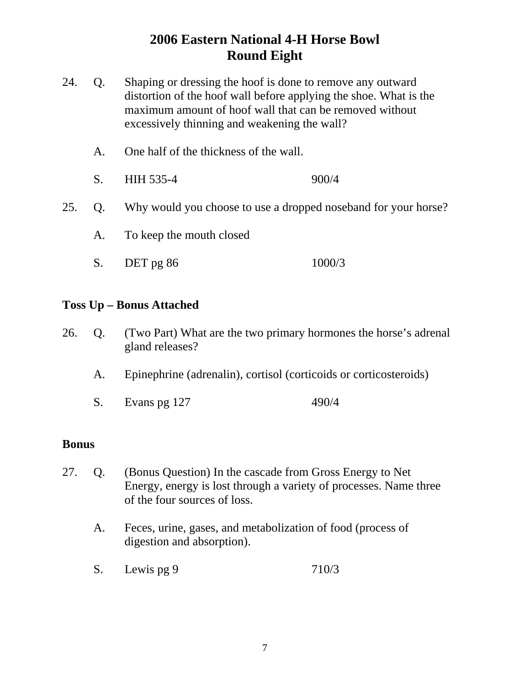- 24. Q. Shaping or dressing the hoof is done to remove any outward distortion of the hoof wall before applying the shoe. What is the maximum amount of hoof wall that can be removed without excessively thinning and weakening the wall?
	- A. One half of the thickness of the wall.
	- S. HIH 535-4 900/4
- 25. Q. Why would you choose to use a dropped noseband for your horse?
	- A. To keep the mouth closed
	- S. DET pg 86 1000/3

#### **Toss Up – Bonus Attached**

- 26. Q. (Two Part) What are the two primary hormones the horse's adrenal gland releases?
	- A. Epinephrine (adrenalin), cortisol (corticoids or corticosteroids)
	- S. Evans pg 127 490/4

#### **Bonus**

- 27. Q. (Bonus Question) In the cascade from Gross Energy to Net Energy, energy is lost through a variety of processes. Name three of the four sources of loss.
	- A. Feces, urine, gases, and metabolization of food (process of digestion and absorption).
	- S. Lewis pg 9 710/3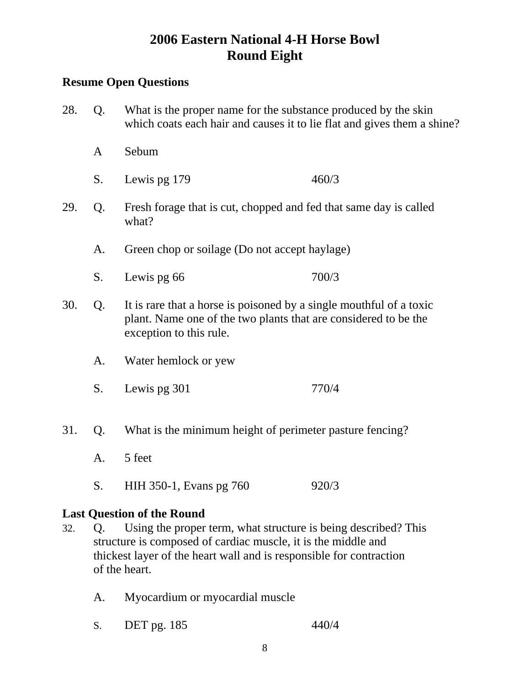### **Resume Open Questions**

- 28. Q. What is the proper name for the substance produced by the skin which coats each hair and causes it to lie flat and gives them a shine? A Sebum S. Lewis pg 179 460/3 29. Q. Fresh forage that is cut, chopped and fed that same day is called what? A. Green chop or soilage (Do not accept haylage) S. Lewis pg 66 700/3 30. Q. It is rare that a horse is poisoned by a single mouthful of a toxic plant. Name one of the two plants that are considered to be the exception to this rule. A. Water hemlock or yew S. Lewis pg 301 770/4 31. Q. What is the minimum height of perimeter pasture fencing? A. 5 feet
	- S. HIH 350-1, Evans pg 760 920/3

### **Last Question of the Round**

- 32. Q. Using the proper term, what structure is being described? This structure is composed of cardiac muscle, it is the middle and thickest layer of the heart wall and is responsible for contraction of the heart.
	- A. Myocardium or myocardial muscle
	- S. DET pg. 185 440/4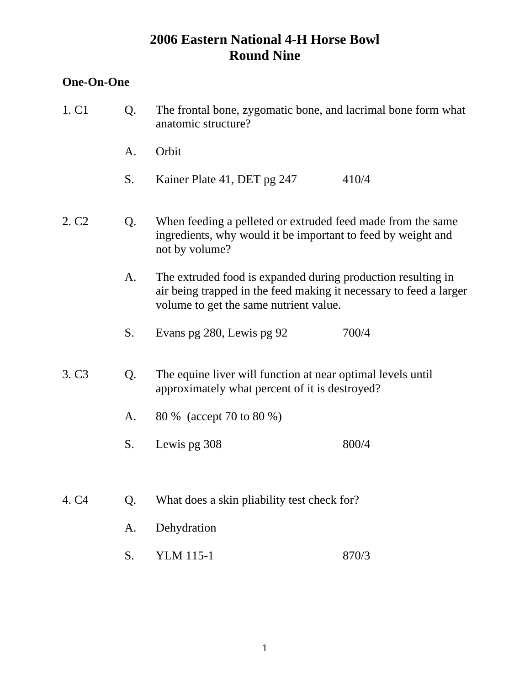### **One-On-One**

- 1. C1 Q. The frontal bone, zygomatic bone, and lacrimal bone form what anatomic structure?
	- A. Orbit
	- S. Kainer Plate 41, DET pg 247 410/4
- 2. C2 Q. When feeding a pelleted or extruded feed made from the same ingredients, why would it be important to feed by weight and not by volume?
	- A. The extruded food is expanded during production resulting in air being trapped in the feed making it necessary to feed a larger volume to get the same nutrient value.
	- S. Evans pg 280, Lewis pg 92 700/4
- 3. C3 Q. The equine liver will function at near optimal levels until approximately what percent of it is destroyed?
	- A. 80 % (accept 70 to 80 %)
	- S. Lewis pg 308 800/4
- 4. C4 Q. What does a skin pliability test check for?
	- A. Dehydration
	- S. YLM 115-1 870/3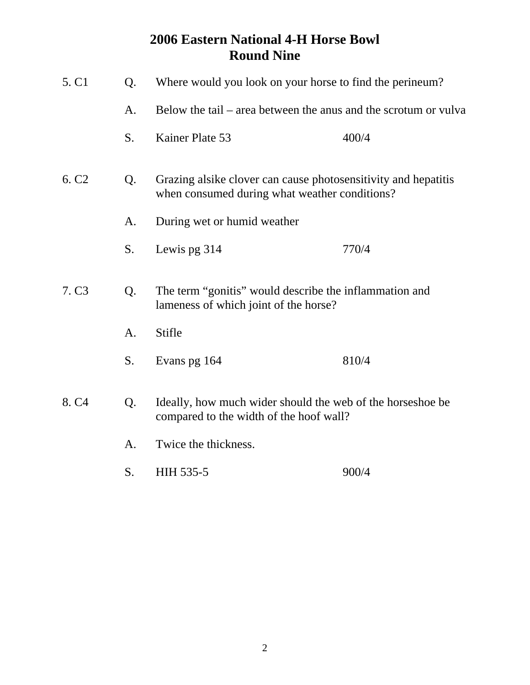| 5. C <sub>1</sub> | Q. | Where would you look on your horse to find the perineum?                                                        |       |  |
|-------------------|----|-----------------------------------------------------------------------------------------------------------------|-------|--|
|                   | A. | Below the tail – area between the anus and the scrotum or vulva                                                 |       |  |
|                   | S. | Kainer Plate 53                                                                                                 | 400/4 |  |
| 6. C <sub>2</sub> | Q. | Grazing alsike clover can cause photosensitivity and hepatitis<br>when consumed during what weather conditions? |       |  |
|                   | A. | During wet or humid weather                                                                                     |       |  |
|                   | S. | Lewis pg 314                                                                                                    | 770/4 |  |
| 7. C <sub>3</sub> | Q. | The term "gonitis" would describe the inflammation and<br>lameness of which joint of the horse?                 |       |  |
|                   | A. | Stifle                                                                                                          |       |  |
|                   | S. | Evans pg 164                                                                                                    | 810/4 |  |
| 8. C <sub>4</sub> | Q. | Ideally, how much wider should the web of the horseshoe be<br>compared to the width of the hoof wall?           |       |  |
|                   | A. | Twice the thickness.                                                                                            |       |  |
|                   | S. | HIH 535-5                                                                                                       | 900/4 |  |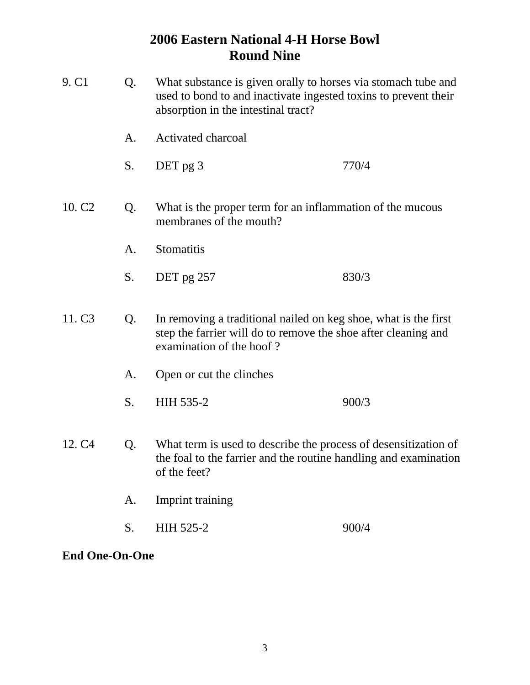| 9. C <sub>1</sub>  | Q. | What substance is given orally to horses via stomach tube and<br>used to bond to and inactivate ingested toxins to prevent their<br>absorption in the intestinal tract? |       |  |
|--------------------|----|-------------------------------------------------------------------------------------------------------------------------------------------------------------------------|-------|--|
|                    | A. | Activated charcoal                                                                                                                                                      |       |  |
|                    | S. | DET pg 3                                                                                                                                                                | 770/4 |  |
| 10. C <sub>2</sub> | Q. | What is the proper term for an inflammation of the mucous<br>membranes of the mouth?                                                                                    |       |  |
|                    | A. | Stomatitis                                                                                                                                                              |       |  |
|                    | S. | DET pg 257                                                                                                                                                              | 830/3 |  |
| 11. C <sub>3</sub> | Q. | In removing a traditional nailed on keg shoe, what is the first<br>step the farrier will do to remove the shoe after cleaning and<br>examination of the hoof?           |       |  |
|                    | A. | Open or cut the clinches                                                                                                                                                |       |  |
|                    | S. | HIH 535-2                                                                                                                                                               | 900/3 |  |
| 12. C <sub>4</sub> | Q. | What term is used to describe the process of desensitization of<br>the foal to the farrier and the routine handling and examination<br>of the feet?                     |       |  |
|                    | A. | Imprint training                                                                                                                                                        |       |  |
|                    | S. | HIH 525-2                                                                                                                                                               | 900/4 |  |

**End One-On-One**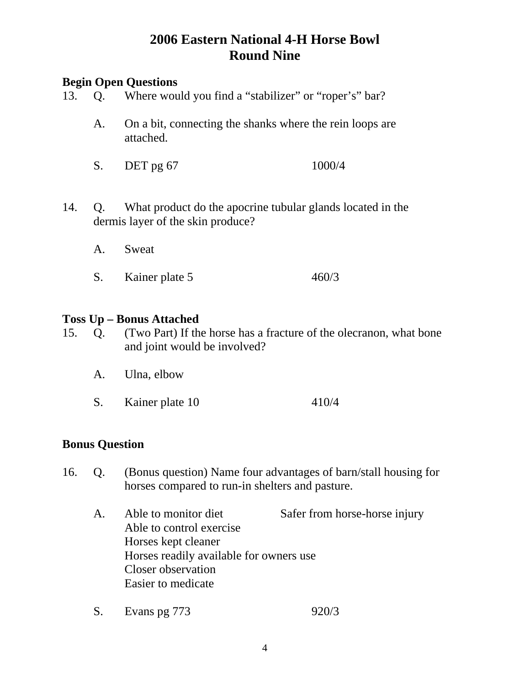## **Begin Open Questions**

- 13. Q. Where would you find a "stabilizer" or "roper's" bar?
	- A. On a bit, connecting the shanks where the rein loops are attached.
	- S. DET pg 67 1000/4
- 14. Q. What product do the apocrine tubular glands located in the dermis layer of the skin produce?
	- A. Sweat S. Kainer plate 5 460/3

#### **Toss Up – Bonus Attached**

- 15. Q. (Two Part) If the horse has a fracture of the olecranon, what bone and joint would be involved?
	- A. Ulna, elbow
	- S. Kainer plate 10 410/4

#### **Bonus Question**

- 16. Q. (Bonus question) Name four advantages of barn/stall housing for horses compared to run-in shelters and pasture.
	- A. Able to monitor diet Safer from horse-horse injury Able to control exercise Horses kept cleaner Horses readily available for owners use Closer observation Easier to medicate
	- S. Evans pg 773 920/3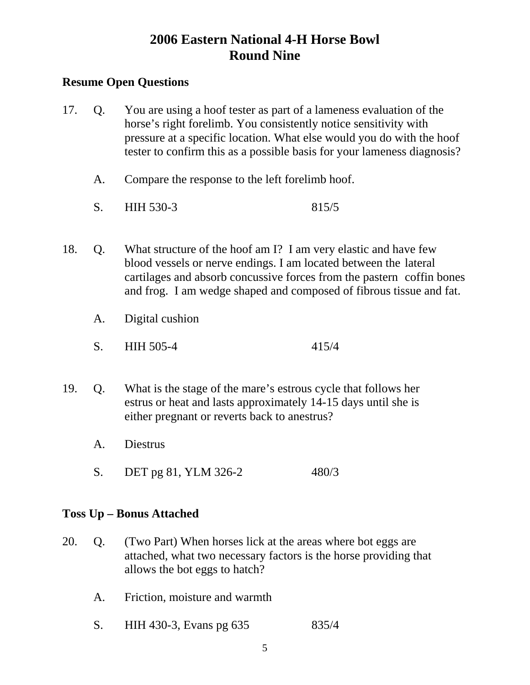### **Resume Open Questions**

- 17. Q. You are using a hoof tester as part of a lameness evaluation of the horse's right forelimb. You consistently notice sensitivity with pressure at a specific location. What else would you do with the hoof tester to confirm this as a possible basis for your lameness diagnosis?
	- A. Compare the response to the left forelimb hoof.
	- S. HIH 530-3 815/5
- 18. Q. What structure of the hoof am I? I am very elastic and have few blood vessels or nerve endings. I am located between the lateral cartilages and absorb concussive forces from the pastern coffin bones and frog. I am wedge shaped and composed of fibrous tissue and fat.
	- A. Digital cushion
	- S. HIH 505-4 415/4
- 19. Q. What is the stage of the mare's estrous cycle that follows her estrus or heat and lasts approximately 14-15 days until she is either pregnant or reverts back to anestrus?
	- A. Diestrus
	- S. DET pg 81, YLM 326-2 480/3

### **Toss Up – Bonus Attached**

- 20. Q. (Two Part) When horses lick at the areas where bot eggs are attached, what two necessary factors is the horse providing that allows the bot eggs to hatch?
	- A. Friction, moisture and warmth
	- S. HIH 430-3, Evans pg 635 835/4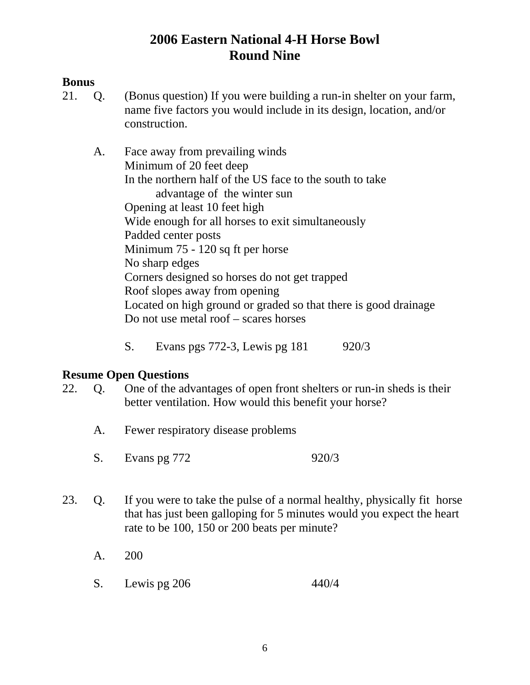### **Bonus**

21. Q. (Bonus question) If you were building a run-in shelter on your farm, name five factors you would include in its design, location, and/or construction.

 A. Face away from prevailing winds Minimum of 20 feet deep In the northern half of the US face to the south to take advantage of the winter sun Opening at least 10 feet high Wide enough for all horses to exit simultaneously Padded center posts Minimum 75 - 120 sq ft per horse No sharp edges Corners designed so horses do not get trapped Roof slopes away from opening Located on high ground or graded so that there is good drainage Do not use metal roof – scares horses

S. Evans pgs 772-3, Lewis pg 181 920/3

- 22. Q. One of the advantages of open front shelters or run-in sheds is their better ventilation. How would this benefit your horse?
	- A. Fewer respiratory disease problems
	- S. Evans pg 772 920/3
- 23. Q. If you were to take the pulse of a normal healthy, physically fit horse that has just been galloping for 5 minutes would you expect the heart rate to be 100, 150 or 200 beats per minute?
	- A. 200
	- S. Lewis pg 206 440/4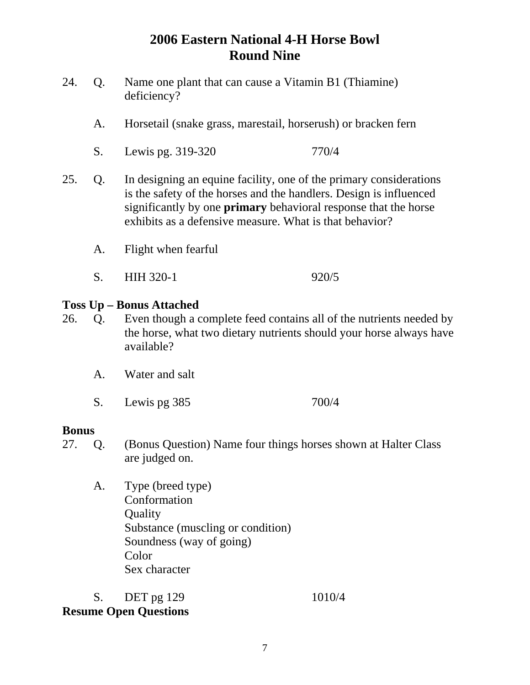- 24. Q. Name one plant that can cause a Vitamin B1 (Thiamine) deficiency?
	- A. Horsetail (snake grass, marestail, horserush) or bracken fern
	- S. Lewis pg. 319-320 770/4
- 25. Q. In designing an equine facility, one of the primary considerations is the safety of the horses and the handlers. Design is influenced significantly by one **primary** behavioral response that the horse exhibits as a defensive measure. What is that behavior?
	- A. Flight when fearful
	- S. HIH 320-1 920/5

### **Toss Up – Bonus Attached**

- 26. Q. Even though a complete feed contains all of the nutrients needed by the horse, what two dietary nutrients should your horse always have available?
	- A. Water and salt
	- S. Lewis pg 385 700/4

#### **Bonus**

- 27. Q. (Bonus Question) Name four things horses shown at Halter Class are judged on.
	- A. Type (breed type) Conformation **Quality**  Substance (muscling or condition) Soundness (way of going) Color Sex character

S. DET pg 129 1010/4 **Resume Open Questions** 

#### 7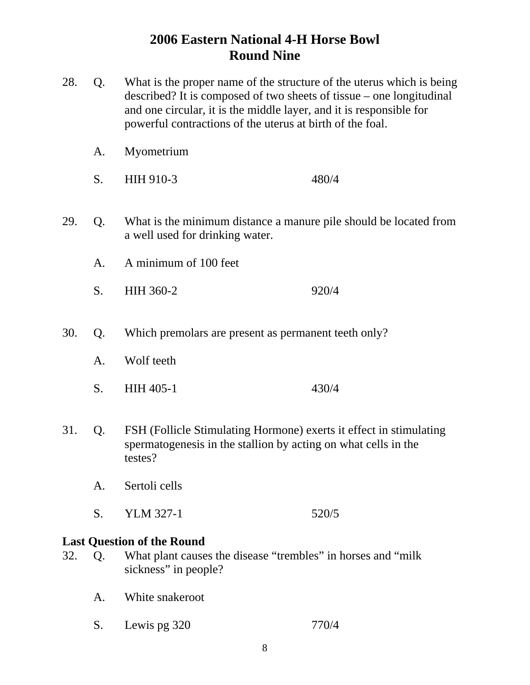- 28. Q. What is the proper name of the structure of the uterus which is being described? It is composed of two sheets of tissue – one longitudinal and one circular, it is the middle layer, and it is responsible for powerful contractions of the uterus at birth of the foal. A. Myometrium S. HIH 910-3 480/4 29. Q. What is the minimum distance a manure pile should be located from a well used for drinking water. A. A minimum of 100 feet S. HIH 360-2 920/4
- 30. Q. Which premolars are present as permanent teeth only?
	- A. Wolf teeth
	- S. HIH 405-1 430/4
- 31. Q. FSH (Follicle Stimulating Hormone) exerts it effect in stimulating spermatogenesis in the stallion by acting on what cells in the testes?
	- A. Sertoli cells
	- S. YLM 327-1 520/5

#### **Last Question of the Round**

- 32. Q. What plant causes the disease "trembles" in horses and "milk sickness" in people?
	- A. White snakeroot
	- S. Lewis pg 320 770/4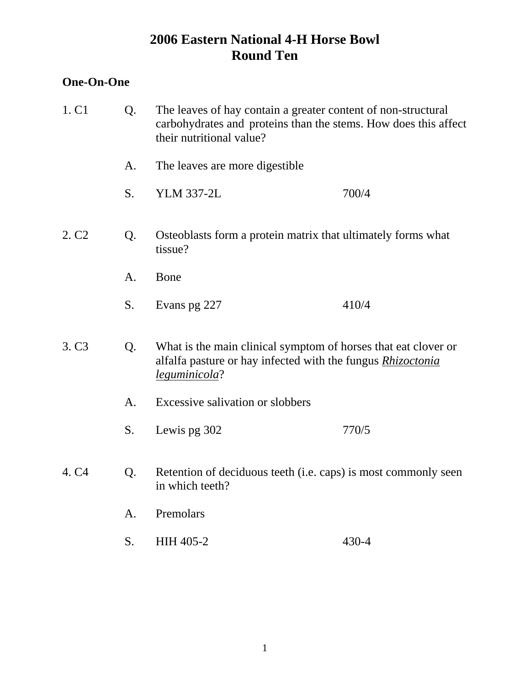### **One-On-One**

| 1. C <sub>1</sub> | Q. | The leaves of hay contain a greater content of non-structural<br>carbohydrates and proteins than the stems. How does this affect<br>their nutritional value? |       |  |  |
|-------------------|----|--------------------------------------------------------------------------------------------------------------------------------------------------------------|-------|--|--|
|                   | A. | The leaves are more digestible.                                                                                                                              |       |  |  |
|                   | S. | <b>YLM 337-2L</b>                                                                                                                                            | 700/4 |  |  |
| 2. C <sub>2</sub> | Q. | Osteoblasts form a protein matrix that ultimately forms what<br>tissue?                                                                                      |       |  |  |
|                   | A. | Bone                                                                                                                                                         |       |  |  |
|                   | S. | Evans pg 227                                                                                                                                                 | 410/4 |  |  |
| 3. C <sub>3</sub> | Q. | What is the main clinical symptom of horses that eat clover or<br>alfalfa pasture or hay infected with the fungus <i>Rhizoctonia</i><br>leguminicola?        |       |  |  |
|                   | A. | Excessive salivation or slobbers                                                                                                                             |       |  |  |
|                   | S. | Lewis pg 302                                                                                                                                                 | 770/5 |  |  |
| 4. C <sub>4</sub> | Q. | Retention of deciduous teeth (i.e. caps) is most commonly seen<br>in which teeth?                                                                            |       |  |  |
|                   | A. | Premolars                                                                                                                                                    |       |  |  |
|                   | S. | <b>HIH 405-2</b>                                                                                                                                             | 430-4 |  |  |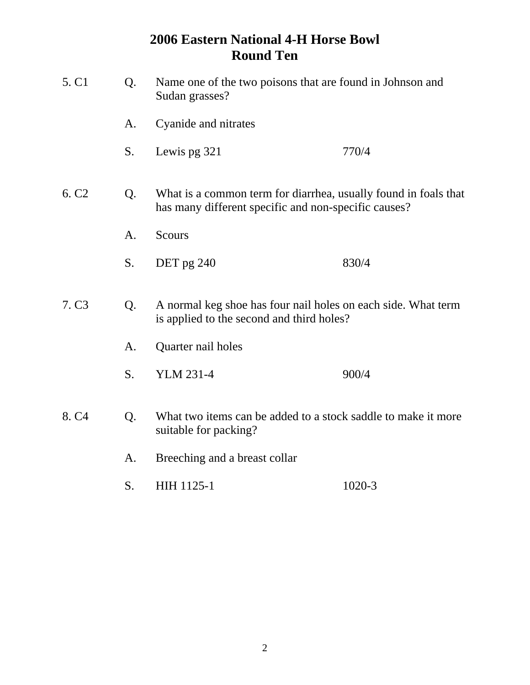| 5. C1             | Q. | Name one of the two poisons that are found in Johnson and<br>Sudan grasses?                                             |        |  |  |  |
|-------------------|----|-------------------------------------------------------------------------------------------------------------------------|--------|--|--|--|
|                   | A. | Cyanide and nitrates                                                                                                    |        |  |  |  |
|                   | S. | Lewis pg 321                                                                                                            | 770/4  |  |  |  |
| 6. C <sub>2</sub> | Q. | What is a common term for diarrhea, usually found in foals that<br>has many different specific and non-specific causes? |        |  |  |  |
|                   | A. | <b>Scours</b>                                                                                                           |        |  |  |  |
|                   | S. | DET pg 240                                                                                                              | 830/4  |  |  |  |
| 7. C <sub>3</sub> | Q. | A normal keg shoe has four nail holes on each side. What term<br>is applied to the second and third holes?              |        |  |  |  |
|                   | A. | Quarter nail holes                                                                                                      |        |  |  |  |
|                   | S. | <b>YLM 231-4</b>                                                                                                        | 900/4  |  |  |  |
| 8. C <sub>4</sub> | Q. | What two items can be added to a stock saddle to make it more<br>suitable for packing?                                  |        |  |  |  |
|                   | A. | Breeching and a breast collar                                                                                           |        |  |  |  |
|                   | S. | <b>HIH 1125-1</b>                                                                                                       | 1020-3 |  |  |  |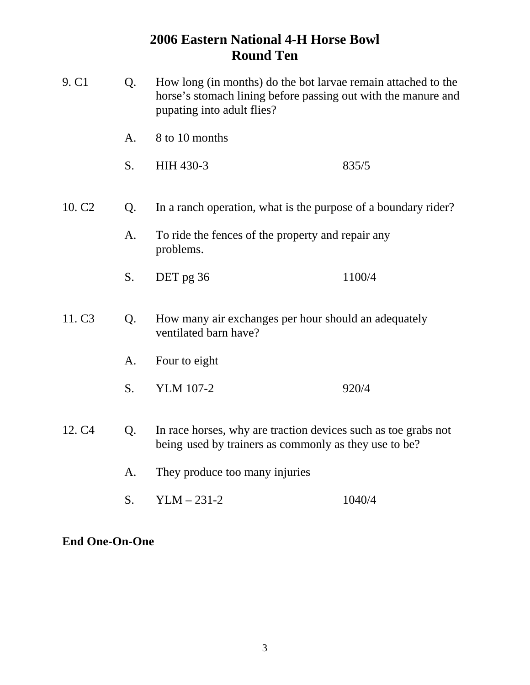| 9. C1              | Q. | How long (in months) do the bot larvae remain attached to the<br>horse's stomach lining before passing out with the manure and<br>pupating into adult flies? |        |  |
|--------------------|----|--------------------------------------------------------------------------------------------------------------------------------------------------------------|--------|--|
|                    | A. | 8 to 10 months                                                                                                                                               |        |  |
|                    | S. | HIH 430-3                                                                                                                                                    | 835/5  |  |
| 10. C <sub>2</sub> | Q. | In a ranch operation, what is the purpose of a boundary rider?                                                                                               |        |  |
|                    | A. | To ride the fences of the property and repair any<br>problems.                                                                                               |        |  |
|                    | S. | DET pg 36                                                                                                                                                    | 1100/4 |  |
| 11. C <sub>3</sub> | Q. | How many air exchanges per hour should an adequately<br>ventilated barn have?                                                                                |        |  |
|                    | A. | Four to eight                                                                                                                                                |        |  |
|                    | S. | <b>YLM 107-2</b>                                                                                                                                             | 920/4  |  |
| 12. C <sub>4</sub> | Q. | In race horses, why are traction devices such as toe grabs not<br>being used by trainers as commonly as they use to be?                                      |        |  |
|                    | A. | They produce too many injuries                                                                                                                               |        |  |
|                    | S. | $YLM - 231-2$                                                                                                                                                | 1040/4 |  |

**End One-On-One**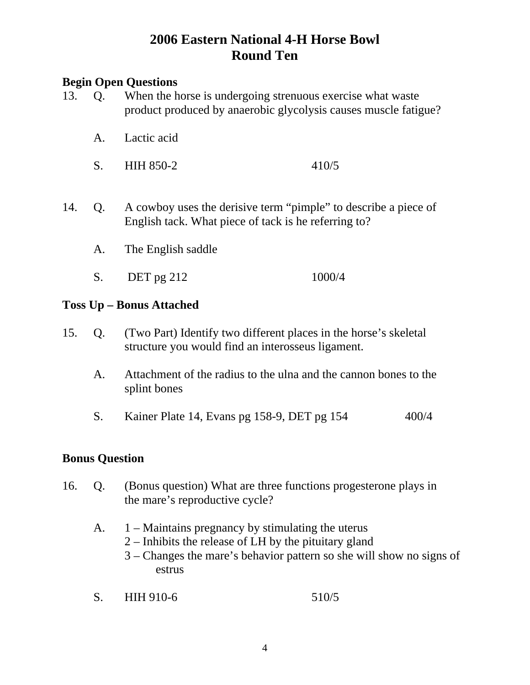### **Begin Open Questions**

- 13. Q. When the horse is undergoing strenuous exercise what waste product produced by anaerobic glycolysis causes muscle fatigue?
	- A. Lactic acid
	- S. HIH 850-2 410/5
- 14. Q. A cowboy uses the derisive term "pimple" to describe a piece of English tack. What piece of tack is he referring to?
	- A. The English saddle
	- S. DET pg 212 1000/4

#### **Toss Up – Bonus Attached**

- 15. Q. (Two Part) Identify two different places in the horse's skeletal structure you would find an interosseus ligament.
	- A. Attachment of the radius to the ulna and the cannon bones to the splint bones
	- S. Kainer Plate 14, Evans pg 158-9, DET pg 154 400/4

#### **Bonus Question**

- 16. Q. (Bonus question) What are three functions progesterone plays in the mare's reproductive cycle?
	- A. 1 Maintains pregnancy by stimulating the uterus
		- 2 Inhibits the release of LH by the pituitary gland
		- 3 Changes the mare's behavior pattern so she will show no signs of estrus
	- S. HIH 910-6 510/5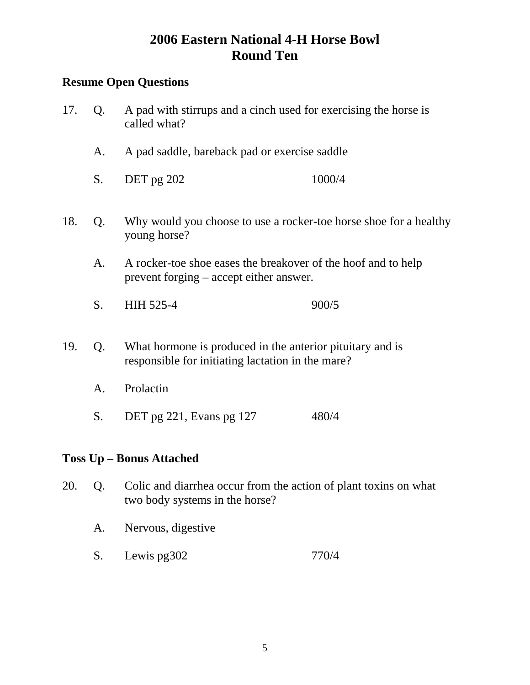### **Resume Open Questions**

- 17. Q. A pad with stirrups and a cinch used for exercising the horse is called what?
	- A. A pad saddle, bareback pad or exercise saddle
	- S. DET pg 202 1000/4
- 18. Q. Why would you choose to use a rocker-toe horse shoe for a healthy young horse?
	- A. A rocker-toe shoe eases the breakover of the hoof and to help prevent forging – accept either answer.
	- S. HIH 525-4 900/5
- 19. Q. What hormone is produced in the anterior pituitary and is responsible for initiating lactation in the mare?
	- A. Prolactin
	- S. DET pg 221, Evans pg 127 480/4

### **Toss Up – Bonus Attached**

- 20. Q. Colic and diarrhea occur from the action of plant toxins on what two body systems in the horse?
	- A. Nervous, digestive
	- S. Lewis pg302 770/4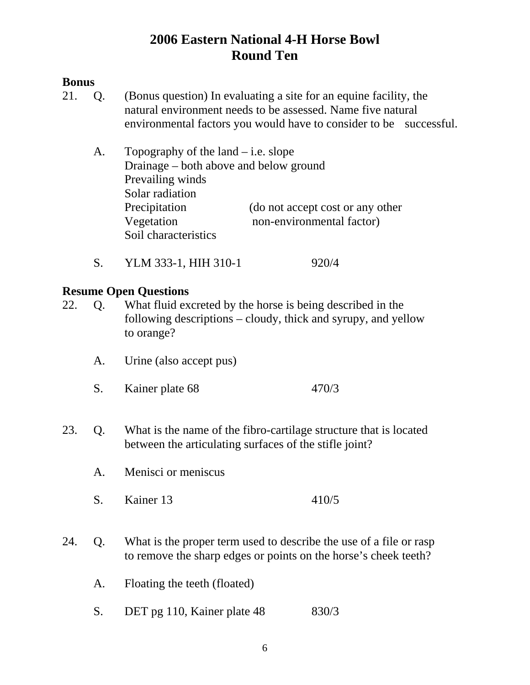### **Bonus**

- 21. Q. (Bonus question) In evaluating a site for an equine facility, the natural environment needs to be assessed. Name five natural environmental factors you would have to consider to be successful.
	- A. Topography of the land  $-$  i.e. slope Drainage – both above and below ground Prevailing winds Solar radiation Precipitation (do not accept cost or any other Vegetation non-environmental factor) Soil characteristics
	- S. YLM 333-1, HIH 310-1 920/4

### **Resume Open Questions**

- 22. Q. What fluid excreted by the horse is being described in the following descriptions – cloudy, thick and syrupy, and yellow to orange?
	- A. Urine (also accept pus)
	- S. Kainer plate 68 470/3
- 23. Q. What is the name of the fibro-cartilage structure that is located between the articulating surfaces of the stifle joint?
	- A. Menisci or meniscus
	- S. Kainer 13 410/5
- 24. Q. What is the proper term used to describe the use of a file or rasp to remove the sharp edges or points on the horse's cheek teeth?
	- A. Floating the teeth (floated)
	- S. DET pg 110, Kainer plate 48 830/3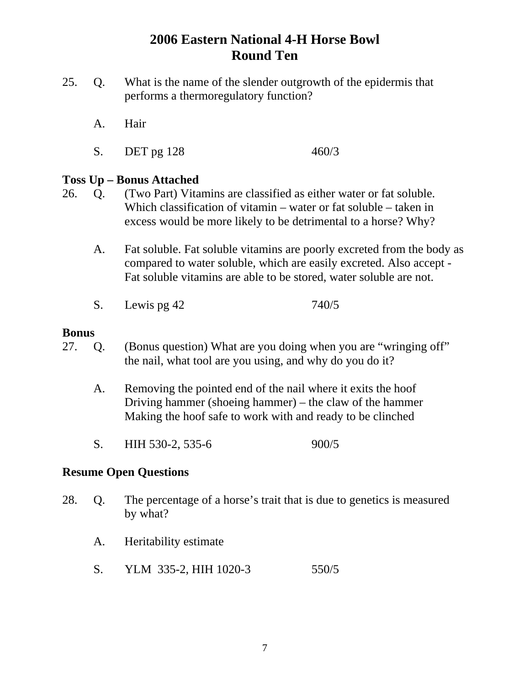- 25. Q. What is the name of the slender outgrowth of the epidermis that performs a thermoregulatory function?
	- A. Hair
	- S. DET pg 128 460/3

#### **Toss Up – Bonus Attached**

- 26. Q. (Two Part) Vitamins are classified as either water or fat soluble. Which classification of vitamin – water or fat soluble – taken in excess would be more likely to be detrimental to a horse? Why?
	- A. Fat soluble. Fat soluble vitamins are poorly excreted from the body as compared to water soluble, which are easily excreted. Also accept - Fat soluble vitamins are able to be stored, water soluble are not.
	- S. Lewis pg 42 740/5

#### **Bonus**

- 27. Q. (Bonus question) What are you doing when you are "wringing off" the nail, what tool are you using, and why do you do it?
	- A. Removing the pointed end of the nail where it exits the hoof Driving hammer (shoeing hammer) – the claw of the hammer Making the hoof safe to work with and ready to be clinched
	- S. HIH 530-2, 535-6 900/5

#### **Resume Open Questions**

- 28. Q. The percentage of a horse's trait that is due to genetics is measured by what?
	- A. Heritability estimate
	- S. YLM 335-2, HIH 1020-3 550/5